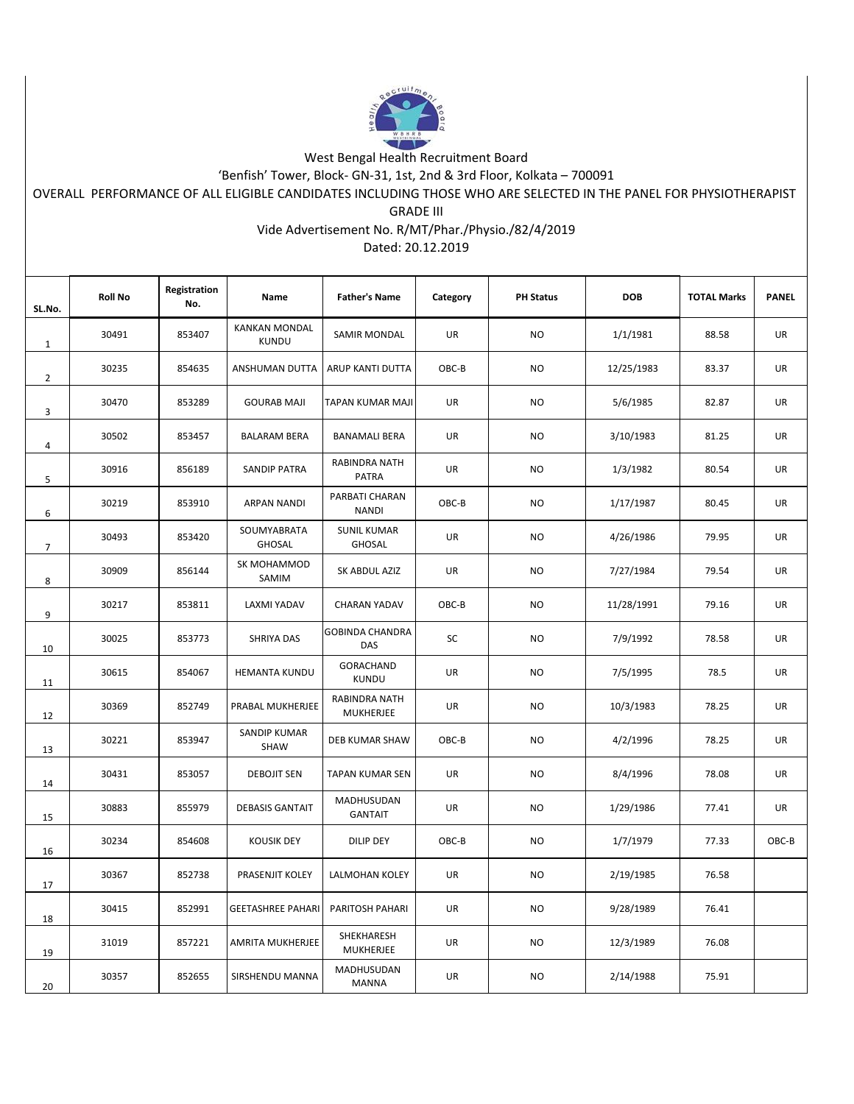

## West Bengal Health Recruitment Board

'Benfish' Tower, Block- GN-31, 1st, 2nd & 3rd Floor, Kolkata – 700091

OVERALL PERFORMANCE OF ALL ELIGIBLE CANDIDATES INCLUDING THOSE WHO ARE SELECTED IN THE PANEL FOR PHYSIOTHERAPIST

GRADE III

## Vide Advertisement No. R/MT/Phar./Physio./82/4/2019

Dated: 20.12.2019

| SL.No.         | <b>Roll No</b> | Registration<br>No. | Name                                 | <b>Father's Name</b>                | Category  | <b>PH Status</b> | <b>DOB</b> | <b>TOTAL Marks</b> | <b>PANEL</b> |
|----------------|----------------|---------------------|--------------------------------------|-------------------------------------|-----------|------------------|------------|--------------------|--------------|
| $\mathbf{1}$   | 30491          | 853407              | <b>KANKAN MONDAL</b><br><b>KUNDU</b> | SAMIR MONDAL                        | UR        | <b>NO</b>        | 1/1/1981   | 88.58              | UR           |
| $\overline{2}$ | 30235          | 854635              | ANSHUMAN DUTTA                       | ARUP KANTI DUTTA                    | OBC-B     | NO.              | 12/25/1983 | 83.37              | <b>UR</b>    |
| 3              | 30470          | 853289              | <b>GOURAB MAJI</b>                   | TAPAN KUMAR MAJI                    | <b>UR</b> | <b>NO</b>        | 5/6/1985   | 82.87              | UR           |
| 4              | 30502          | 853457              | <b>BALARAM BERA</b>                  | <b>BANAMALI BERA</b>                | UR        | <b>NO</b>        | 3/10/1983  | 81.25              | UR           |
| 5              | 30916          | 856189              | <b>SANDIP PATRA</b>                  | RABINDRA NATH<br><b>PATRA</b>       | UR        | <b>NO</b>        | 1/3/1982   | 80.54              | UR           |
| 6              | 30219          | 853910              | <b>ARPAN NANDI</b>                   | PARBATI CHARAN<br><b>NANDI</b>      | OBC-B     | <b>NO</b>        | 1/17/1987  | 80.45              | UR           |
| $\overline{7}$ | 30493          | 853420              | SOUMYABRATA<br><b>GHOSAL</b>         | <b>SUNIL KUMAR</b><br><b>GHOSAL</b> | UR        | <b>NO</b>        | 4/26/1986  | 79.95              | UR           |
| 8              | 30909          | 856144              | SK MOHAMMOD<br>SAMIM                 | SK ABDUL AZIZ                       | UR        | <b>NO</b>        | 7/27/1984  | 79.54              | UR           |
| 9              | 30217          | 853811              | LAXMI YADAV                          | <b>CHARAN YADAV</b>                 | OBC-B     | <b>NO</b>        | 11/28/1991 | 79.16              | UR           |
| 10             | 30025          | 853773              | SHRIYA DAS                           | <b>GOBINDA CHANDRA</b><br>DAS       | SC        | <b>NO</b>        | 7/9/1992   | 78.58              | UR           |
| 11             | 30615          | 854067              | <b>HEMANTA KUNDU</b>                 | GORACHAND<br>KUNDU                  | UR        | <b>NO</b>        | 7/5/1995   | 78.5               | <b>UR</b>    |
| 12             | 30369          | 852749              | PRABAL MUKHERJEE                     | RABINDRA NATH<br><b>MUKHERJEE</b>   | UR        | NO.              | 10/3/1983  | 78.25              | UR           |
| 13             | 30221          | 853947              | <b>SANDIP KUMAR</b><br><b>SHAW</b>   | DEB KUMAR SHAW                      | OBC-B     | <b>NO</b>        | 4/2/1996   | 78.25              | UR           |
| 14             | 30431          | 853057              | <b>DEBOJIT SEN</b>                   | TAPAN KUMAR SEN                     | UR        | <b>NO</b>        | 8/4/1996   | 78.08              | UR           |
| 15             | 30883          | 855979              | <b>DEBASIS GANTAIT</b>               | MADHUSUDAN<br><b>GANTAIT</b>        | UR        | <b>NO</b>        | 1/29/1986  | 77.41              | UR           |
| 16             | 30234          | 854608              | <b>KOUSIK DEY</b>                    | DILIP DEY                           | OBC-B     | <b>NO</b>        | 1/7/1979   | 77.33              | OBC-B        |
| 17             | 30367          | 852738              | PRASENJIT KOLEY                      | LALMOHAN KOLEY                      | UR        | <b>NO</b>        | 2/19/1985  | 76.58              |              |
| 18             | 30415          | 852991              | <b>GEETASHREE PAHARI</b>             | PARITOSH PAHARI                     | UR        | <b>NO</b>        | 9/28/1989  | 76.41              |              |
| 19             | 31019          | 857221              | AMRITA MUKHERJEE                     | SHEKHARESH<br>MUKHERJEE             | <b>UR</b> | <b>NO</b>        | 12/3/1989  | 76.08              |              |
| 20             | 30357          | 852655              | SIRSHENDU MANNA                      | MADHUSUDAN<br>MANNA                 | UR        | <b>NO</b>        | 2/14/1988  | 75.91              |              |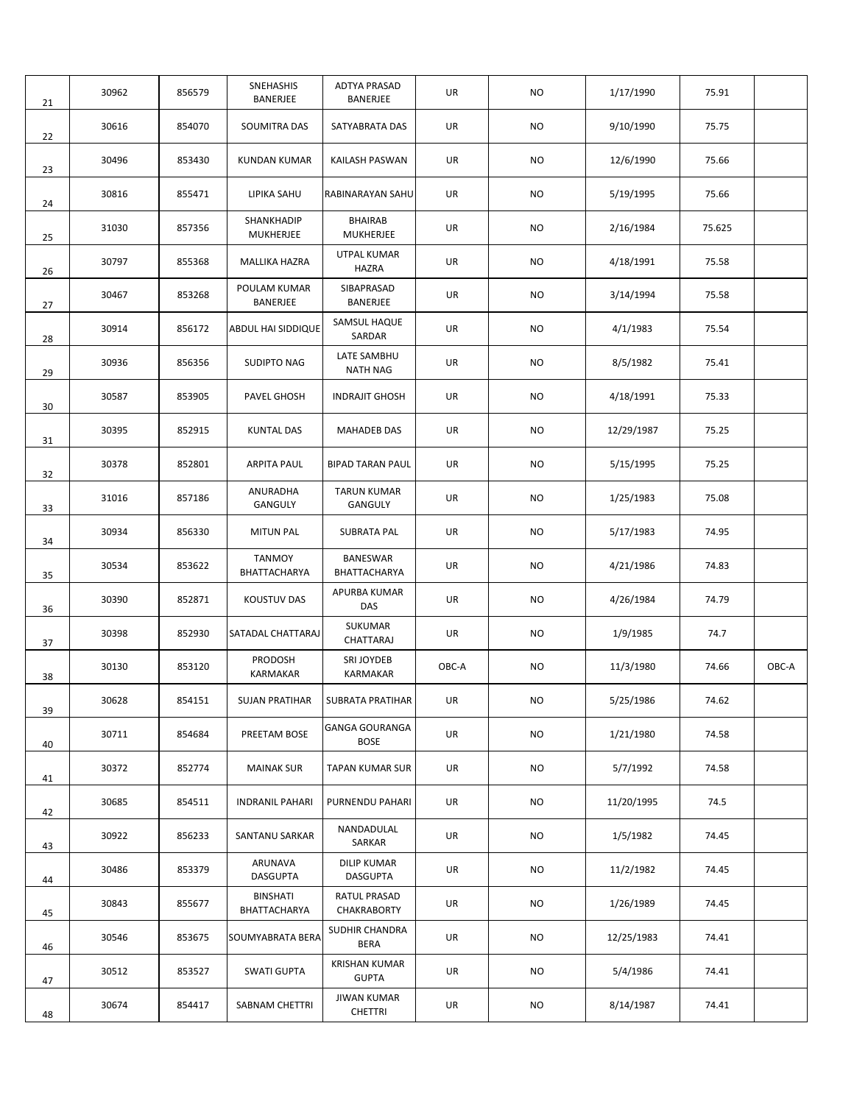| 21 | 30962 | 856579 | SNEHASHIS<br>BANERJEE           | <b>ADTYA PRASAD</b><br><b>BANERJEE</b> | UR    | NO.       | 1/17/1990  | 75.91  |       |
|----|-------|--------|---------------------------------|----------------------------------------|-------|-----------|------------|--------|-------|
| 22 | 30616 | 854070 | SOUMITRA DAS                    | SATYABRATA DAS                         | UR    | NO.       | 9/10/1990  | 75.75  |       |
| 23 | 30496 | 853430 | <b>KUNDAN KUMAR</b>             | KAILASH PASWAN                         | UR    | NO.       | 12/6/1990  | 75.66  |       |
| 24 | 30816 | 855471 | LIPIKA SAHU                     | RABINARAYAN SAHU                       | UR    | NO.       | 5/19/1995  | 75.66  |       |
| 25 | 31030 | 857356 | SHANKHADIP<br><b>MUKHERJEE</b>  | <b>BHAIRAB</b><br><b>MUKHERJEE</b>     | UR    | NO.       | 2/16/1984  | 75.625 |       |
| 26 | 30797 | 855368 | MALLIKA HAZRA                   | UTPAL KUMAR<br><b>HAZRA</b>            | UR    | NO.       | 4/18/1991  | 75.58  |       |
| 27 | 30467 | 853268 | POULAM KUMAR<br>BANERJEE        | SIBAPRASAD<br>BANERJEE                 | UR    | NO.       | 3/14/1994  | 75.58  |       |
| 28 | 30914 | 856172 | <b>ABDUL HAI SIDDIQUE</b>       | SAMSUL HAQUE<br>SARDAR                 | UR    | NO.       | 4/1/1983   | 75.54  |       |
| 29 | 30936 | 856356 | <b>SUDIPTO NAG</b>              | LATE SAMBHU<br><b>NATH NAG</b>         | UR    | NO.       | 8/5/1982   | 75.41  |       |
| 30 | 30587 | 853905 | PAVEL GHOSH                     | <b>INDRAJIT GHOSH</b>                  | UR    | NO.       | 4/18/1991  | 75.33  |       |
| 31 | 30395 | 852915 | <b>KUNTAL DAS</b>               | <b>MAHADEB DAS</b>                     | UR    | NO.       | 12/29/1987 | 75.25  |       |
| 32 | 30378 | 852801 | <b>ARPITA PAUL</b>              | <b>BIPAD TARAN PAUL</b>                | UR    | NO.       | 5/15/1995  | 75.25  |       |
| 33 | 31016 | 857186 | ANURADHA<br>GANGULY             | <b>TARUN KUMAR</b><br>GANGULY          | UR    | NO.       | 1/25/1983  | 75.08  |       |
| 34 | 30934 | 856330 | <b>MITUN PAL</b>                | <b>SUBRATA PAL</b>                     | UR    | <b>NO</b> | 5/17/1983  | 74.95  |       |
| 35 | 30534 | 853622 | <b>TANMOY</b><br>BHATTACHARYA   | <b>BANESWAR</b><br>BHATTACHARYA        | UR    | NO.       | 4/21/1986  | 74.83  |       |
| 36 | 30390 | 852871 | <b>KOUSTUV DAS</b>              | APURBA KUMAR<br>DAS                    | UR    | <b>NO</b> | 4/26/1984  | 74.79  |       |
| 37 | 30398 | 852930 | SATADAL CHATTARAJ               | SUKUMAR<br>CHATTARAJ                   | UR    | NO.       | 1/9/1985   | 74.7   |       |
| 38 | 30130 | 853120 | PRODOSH<br>KARMAKAR             | SRI JOYDEB<br>KARMAKAR                 | OBC-A | NO.       | 11/3/1980  | 74.66  | OBC-A |
| 39 | 30628 | 854151 | <b>SUJAN PRATIHAR</b>           | SUBRATA PRATIHAR                       | UR    | <b>NO</b> | 5/25/1986  | 74.62  |       |
| 40 | 30711 | 854684 | PREETAM BOSE                    | <b>GANGA GOURANGA</b><br><b>BOSE</b>   | UR    | <b>NO</b> | 1/21/1980  | 74.58  |       |
| 41 | 30372 | 852774 | <b>MAINAK SUR</b>               | TAPAN KUMAR SUR                        | UR    | <b>NO</b> | 5/7/1992   | 74.58  |       |
| 42 | 30685 | 854511 | <b>INDRANIL PAHARI</b>          | PURNENDU PAHARI                        | UR    | <b>NO</b> | 11/20/1995 | 74.5   |       |
| 43 | 30922 | 856233 | SANTANU SARKAR                  | NANDADULAL<br>SARKAR                   | UR    | NO        | 1/5/1982   | 74.45  |       |
| 44 | 30486 | 853379 | ARUNAVA<br><b>DASGUPTA</b>      | <b>DILIP KUMAR</b><br><b>DASGUPTA</b>  | UR    | NO.       | 11/2/1982  | 74.45  |       |
| 45 | 30843 | 855677 | <b>BINSHATI</b><br>BHATTACHARYA | RATUL PRASAD<br>CHAKRABORTY            | UR    | NO        | 1/26/1989  | 74.45  |       |
| 46 | 30546 | 853675 | SOUMYABRATA BERA                | <b>SUDHIR CHANDRA</b><br>BERA          | UR    | NO        | 12/25/1983 | 74.41  |       |
| 47 | 30512 | 853527 | <b>SWATI GUPTA</b>              | <b>KRISHAN KUMAR</b><br><b>GUPTA</b>   | UR    | NO        | 5/4/1986   | 74.41  |       |
| 48 | 30674 | 854417 | SABNAM CHETTRI                  | <b>JIWAN KUMAR</b><br><b>CHETTRI</b>   | UR    | NO        | 8/14/1987  | 74.41  |       |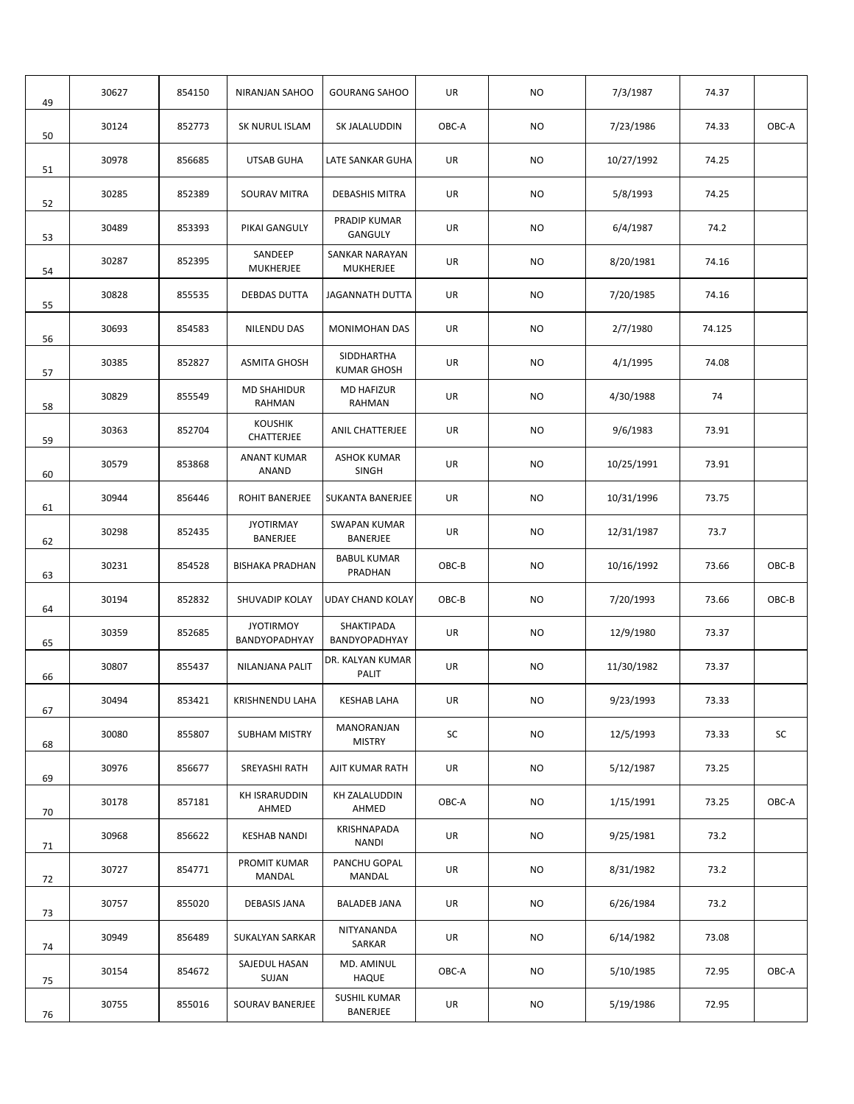| 49 | 30627 | 854150 | NIRANJAN SAHOO                     | <b>GOURANG SAHOO</b>               | UR    | <b>NO</b> | 7/3/1987   | 74.37  |       |
|----|-------|--------|------------------------------------|------------------------------------|-------|-----------|------------|--------|-------|
| 50 | 30124 | 852773 | SK NURUL ISLAM                     | SK JALALUDDIN                      | OBC-A | <b>NO</b> | 7/23/1986  | 74.33  | OBC-A |
| 51 | 30978 | 856685 | <b>UTSAB GUHA</b>                  | LATE SANKAR GUHA                   | UR    | <b>NO</b> | 10/27/1992 | 74.25  |       |
| 52 | 30285 | 852389 | <b>SOURAV MITRA</b>                | <b>DEBASHIS MITRA</b>              | UR    | <b>NO</b> | 5/8/1993   | 74.25  |       |
| 53 | 30489 | 853393 | PIKAI GANGULY                      | <b>PRADIP KUMAR</b><br>GANGULY     | UR    | <b>NO</b> | 6/4/1987   | 74.2   |       |
| 54 | 30287 | 852395 | SANDEEP<br>MUKHERJEE               | SANKAR NARAYAN<br><b>MUKHERJEE</b> | UR    | <b>NO</b> | 8/20/1981  | 74.16  |       |
| 55 | 30828 | 855535 | <b>DEBDAS DUTTA</b>                | <b>JAGANNATH DUTTA</b>             | UR    | <b>NO</b> | 7/20/1985  | 74.16  |       |
| 56 | 30693 | 854583 | NILENDU DAS                        | MONIMOHAN DAS                      | UR    | <b>NO</b> | 2/7/1980   | 74.125 |       |
| 57 | 30385 | 852827 | <b>ASMITA GHOSH</b>                | SIDDHARTHA<br><b>KUMAR GHOSH</b>   | UR    | <b>NO</b> | 4/1/1995   | 74.08  |       |
| 58 | 30829 | 855549 | <b>MD SHAHIDUR</b><br>RAHMAN       | <b>MD HAFIZUR</b><br>RAHMAN        | UR    | <b>NO</b> | 4/30/1988  | 74     |       |
| 59 | 30363 | 852704 | <b>KOUSHIK</b><br>CHATTERJEE       | ANIL CHATTERJEE                    | UR    | <b>NO</b> | 9/6/1983   | 73.91  |       |
| 60 | 30579 | 853868 | <b>ANANT KUMAR</b><br><b>ANAND</b> | <b>ASHOK KUMAR</b><br><b>SINGH</b> | UR    | NO.       | 10/25/1991 | 73.91  |       |
| 61 | 30944 | 856446 | ROHIT BANERJEE                     | SUKANTA BANERJEE                   | UR    | NO.       | 10/31/1996 | 73.75  |       |
| 62 | 30298 | 852435 | <b>JYOTIRMAY</b><br>BANERJEE       | <b>SWAPAN KUMAR</b><br>BANERJEE    | UR    | <b>NO</b> | 12/31/1987 | 73.7   |       |
| 63 | 30231 | 854528 | <b>BISHAKA PRADHAN</b>             | <b>BABUL KUMAR</b><br>PRADHAN      | OBC-B | <b>NO</b> | 10/16/1992 | 73.66  | OBC-B |
| 64 | 30194 | 852832 | SHUVADIP KOLAY                     | UDAY CHAND KOLAY                   | OBC-B | NO.       | 7/20/1993  | 73.66  | OBC-B |
| 65 | 30359 | 852685 | <b>JYOTIRMOY</b><br>BANDYOPADHYAY  | SHAKTIPADA<br>BANDYOPADHYAY        | UR    | <b>NO</b> | 12/9/1980  | 73.37  |       |
| 66 | 30807 | 855437 | NILANJANA PALIT                    | DR. KALYAN KUMAR<br>PALIT          | UR    | NO.       | 11/30/1982 | 73.37  |       |
| 67 | 30494 | 853421 | KRISHNENDU LAHA                    | <b>KESHAB LAHA</b>                 | UR    | NO.       | 9/23/1993  | 73.33  |       |
| 68 | 30080 | 855807 | SUBHAM MISTRY                      | MANORANJAN<br><b>MISTRY</b>        | SC    | <b>NO</b> | 12/5/1993  | 73.33  | SC    |
| 69 | 30976 | 856677 | SREYASHI RATH                      | AJIT KUMAR RATH                    | UR    | NO        | 5/12/1987  | 73.25  |       |
| 70 | 30178 | 857181 | <b>KH ISRARUDDIN</b><br>AHMED      | KH ZALALUDDIN<br>AHMED             | OBC-A | <b>NO</b> | 1/15/1991  | 73.25  | OBC-A |
| 71 | 30968 | 856622 | <b>KESHAB NANDI</b>                | KRISHNAPADA<br><b>NANDI</b>        | UR    | NO        | 9/25/1981  | 73.2   |       |
| 72 | 30727 | 854771 | PROMIT KUMAR<br>MANDAL             | PANCHU GOPAL<br>MANDAL             | UR    | NO        | 8/31/1982  | 73.2   |       |
| 73 | 30757 | 855020 | <b>DEBASIS JANA</b>                | <b>BALADEB JANA</b>                | UR    | NO        | 6/26/1984  | 73.2   |       |
| 74 | 30949 | 856489 | SUKALYAN SARKAR                    | NITYANANDA<br>SARKAR               | UR    | NO        | 6/14/1982  | 73.08  |       |
| 75 | 30154 | 854672 | SAJEDUL HASAN<br>SUJAN             | MD. AMINUL<br><b>HAQUE</b>         | OBC-A | NO.       | 5/10/1985  | 72.95  | OBC-A |
| 76 | 30755 | 855016 | SOURAV BANERJEE                    | SUSHIL KUMAR<br>BANERJEE           | UR    | NO        | 5/19/1986  | 72.95  |       |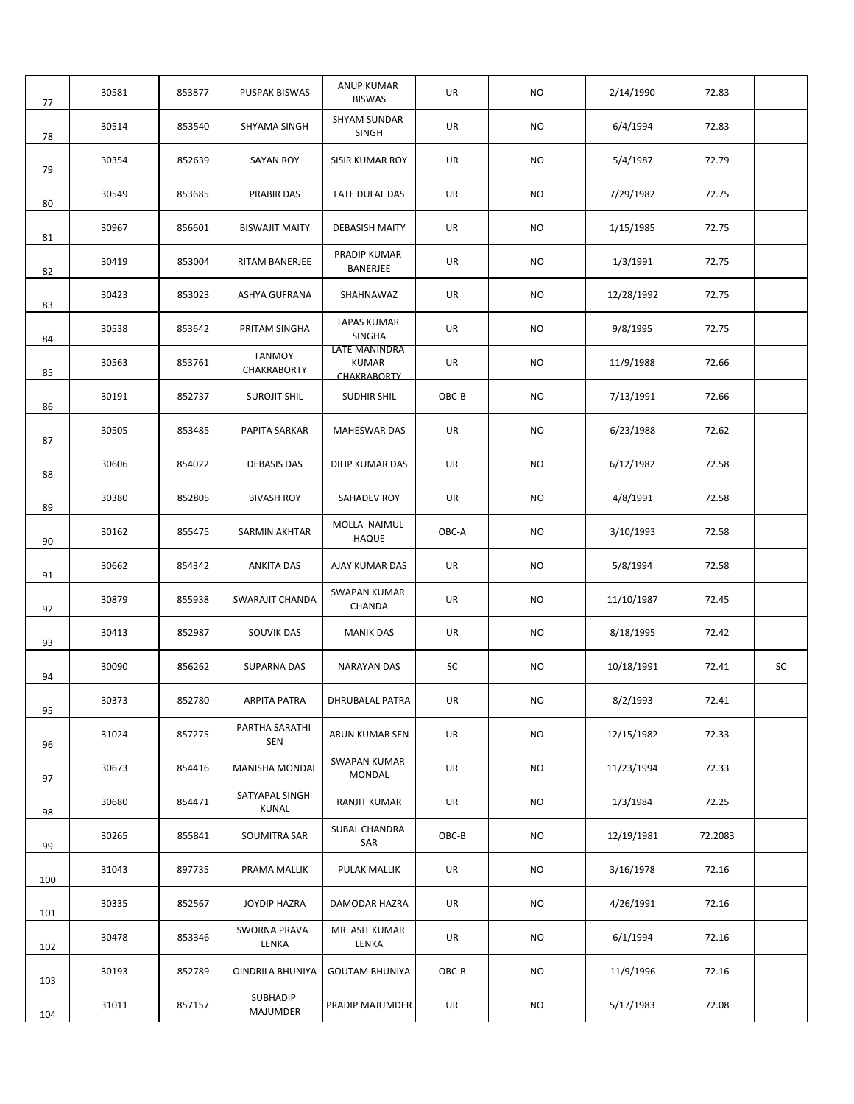| 77  | 30581 | 853877 | <b>PUSPAK BISWAS</b>         | ANUP KUMAR<br><b>BISWAS</b>                  | UR    | NO.       | 2/14/1990  | 72.83   |    |
|-----|-------|--------|------------------------------|----------------------------------------------|-------|-----------|------------|---------|----|
| 78  | 30514 | 853540 | SHYAMA SINGH                 | SHYAM SUNDAR<br><b>SINGH</b>                 | UR    | NO.       | 6/4/1994   | 72.83   |    |
| 79  | 30354 | 852639 | <b>SAYAN ROY</b>             | SISIR KUMAR ROY                              | UR    | NO.       | 5/4/1987   | 72.79   |    |
| 80  | 30549 | 853685 | <b>PRABIR DAS</b>            | LATE DULAL DAS                               | UR    | NO.       | 7/29/1982  | 72.75   |    |
| 81  | 30967 | 856601 | <b>BISWAJIT MAITY</b>        | <b>DEBASISH MAITY</b>                        | UR    | NO.       | 1/15/1985  | 72.75   |    |
| 82  | 30419 | 853004 | RITAM BANERJEE               | PRADIP KUMAR<br>BANERJEE                     | UR    | NO.       | 1/3/1991   | 72.75   |    |
| 83  | 30423 | 853023 | ASHYA GUFRANA                | SHAHNAWAZ                                    | UR    | NO.       | 12/28/1992 | 72.75   |    |
| 84  | 30538 | 853642 | PRITAM SINGHA                | <b>TAPAS KUMAR</b><br><b>SINGHA</b>          | UR    | NO        | 9/8/1995   | 72.75   |    |
| 85  | 30563 | 853761 | <b>TANMOY</b><br>CHAKRABORTY | LATE MANINDRA<br><b>KUMAR</b><br>CHAKRABORTY | UR    | NO.       | 11/9/1988  | 72.66   |    |
| 86  | 30191 | 852737 | <b>SUROJIT SHIL</b>          | <b>SUDHIR SHIL</b>                           | OBC-B | NO.       | 7/13/1991  | 72.66   |    |
| 87  | 30505 | 853485 | PAPITA SARKAR                | <b>MAHESWAR DAS</b>                          | UR    | NO.       | 6/23/1988  | 72.62   |    |
| 88  | 30606 | 854022 | <b>DEBASIS DAS</b>           | DILIP KUMAR DAS                              | UR    | NO.       | 6/12/1982  | 72.58   |    |
| 89  | 30380 | 852805 | <b>BIVASH ROY</b>            | SAHADEV ROY                                  | UR    | NO.       | 4/8/1991   | 72.58   |    |
| 90  | 30162 | 855475 | SARMIN AKHTAR                | MOLLA NAIMUL<br>HAQUE                        | OBC-A | NO.       | 3/10/1993  | 72.58   |    |
| 91  | 30662 | 854342 | <b>ANKITA DAS</b>            | AJAY KUMAR DAS                               | UR    | NO.       | 5/8/1994   | 72.58   |    |
| 92  | 30879 | 855938 | <b>SWARAJIT CHANDA</b>       | <b>SWAPAN KUMAR</b><br>CHANDA                | UR    | NO.       | 11/10/1987 | 72.45   |    |
| 93  | 30413 | 852987 | SOUVIK DAS                   | <b>MANIK DAS</b>                             | UR    | NO.       | 8/18/1995  | 72.42   |    |
| 94  | 30090 | 856262 | SUPARNA DAS                  | NARAYAN DAS                                  | SC    | NO.       | 10/18/1991 | 72.41   | SC |
| 95  | 30373 | 852780 | <b>ARPITA PATRA</b>          | <b>DHRUBALAL PATRA</b>                       | UR    | <b>NO</b> | 8/2/1993   | 72.41   |    |
| 96  | 31024 | 857275 | PARTHA SARATHI<br><b>SEN</b> | ARUN KUMAR SEN                               | UR    | NO        | 12/15/1982 | 72.33   |    |
| 97  | 30673 | 854416 | MANISHA MONDAL               | <b>SWAPAN KUMAR</b><br>MONDAL                | UR    | NO        | 11/23/1994 | 72.33   |    |
| 98  | 30680 | 854471 | SATYAPAL SINGH<br>KUNAL      | RANJIT KUMAR                                 | UR    | <b>NO</b> | 1/3/1984   | 72.25   |    |
| 99  | 30265 | 855841 | SOUMITRA SAR                 | SUBAL CHANDRA<br>SAR                         | OBC-B | NO.       | 12/19/1981 | 72.2083 |    |
| 100 | 31043 | 897735 | PRAMA MALLIK                 | PULAK MALLIK                                 | UR    | NO        | 3/16/1978  | 72.16   |    |
| 101 | 30335 | 852567 | JOYDIP HAZRA                 | DAMODAR HAZRA                                | UR    | NO        | 4/26/1991  | 72.16   |    |
| 102 | 30478 | 853346 | <b>SWORNA PRAVA</b><br>LENKA | MR. ASIT KUMAR<br>LENKA                      | UR    | NO        | 6/1/1994   | 72.16   |    |
| 103 | 30193 | 852789 | OINDRILA BHUNIYA             | <b>GOUTAM BHUNIYA</b>                        | OBC-B | NO        | 11/9/1996  | 72.16   |    |
| 104 | 31011 | 857157 | SUBHADIP<br>MAJUMDER         | PRADIP MAJUMDER                              | UR    | NO        | 5/17/1983  | 72.08   |    |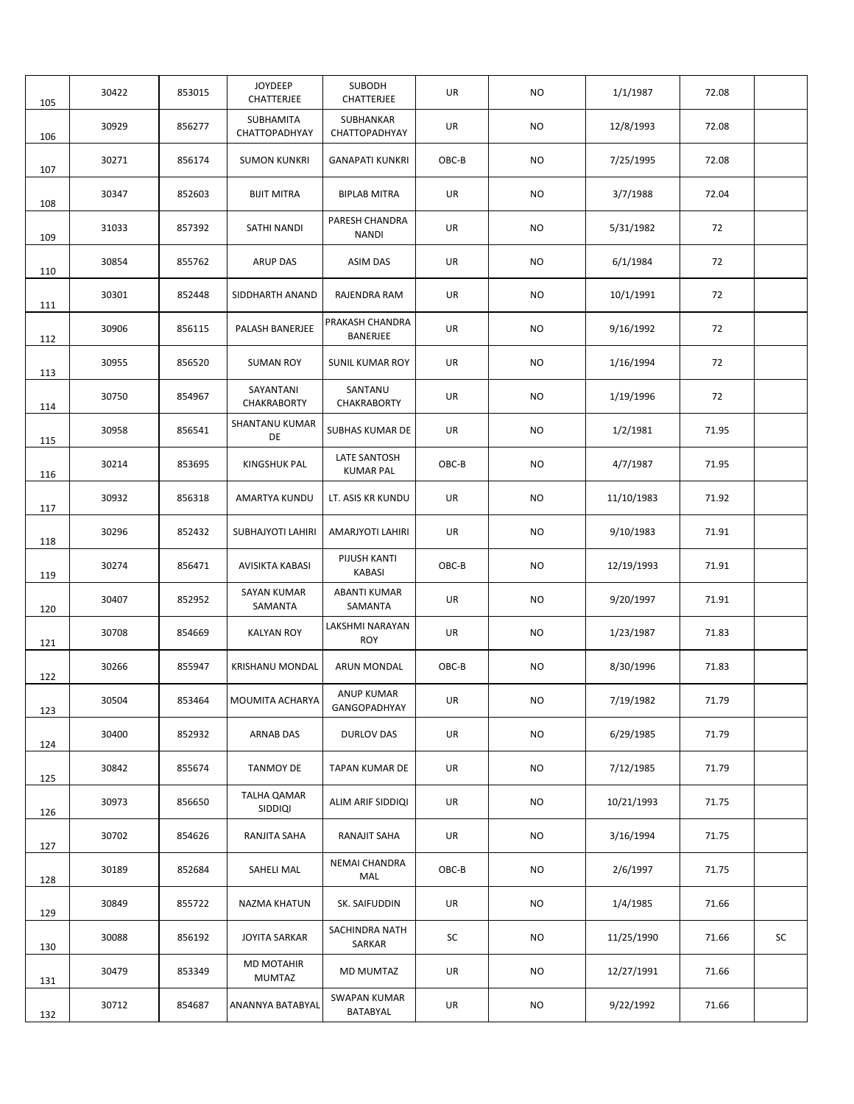| 105 | 30422 | 853015 | <b>JOYDEEP</b><br>CHATTERJEE  | <b>SUBODH</b><br>CHATTERJEE       | UR    | NO.       | 1/1/1987   | 72.08 |    |
|-----|-------|--------|-------------------------------|-----------------------------------|-------|-----------|------------|-------|----|
| 106 | 30929 | 856277 | SUBHAMITA<br>CHATTOPADHYAY    | SUBHANKAR<br>CHATTOPADHYAY        | UR    | <b>NO</b> | 12/8/1993  | 72.08 |    |
| 107 | 30271 | 856174 | <b>SUMON KUNKRI</b>           | <b>GANAPATI KUNKRI</b>            | OBC-B | NO.       | 7/25/1995  | 72.08 |    |
| 108 | 30347 | 852603 | <b>BIJIT MITRA</b>            | <b>BIPLAB MITRA</b>               | UR    | NO.       | 3/7/1988   | 72.04 |    |
| 109 | 31033 | 857392 | SATHI NANDI                   | PARESH CHANDRA<br><b>NANDI</b>    | UR    | <b>NO</b> | 5/31/1982  | 72    |    |
| 110 | 30854 | 855762 | <b>ARUP DAS</b>               | <b>ASIM DAS</b>                   | UR    | NO.       | 6/1/1984   | 72    |    |
| 111 | 30301 | 852448 | SIDDHARTH ANAND               | RAJENDRA RAM                      | UR    | NO.       | 10/1/1991  | 72    |    |
| 112 | 30906 | 856115 | PALASH BANERJEE               | PRAKASH CHANDRA<br>BANERJEE       | UR    | <b>NO</b> | 9/16/1992  | 72    |    |
| 113 | 30955 | 856520 | <b>SUMAN ROY</b>              | <b>SUNIL KUMAR ROY</b>            | UR    | <b>NO</b> | 1/16/1994  | 72    |    |
| 114 | 30750 | 854967 | SAYANTANI<br>CHAKRABORTY      | SANTANU<br>CHAKRABORTY            | UR    | <b>NO</b> | 1/19/1996  | 72    |    |
| 115 | 30958 | 856541 | <b>SHANTANU KUMAR</b><br>DE   | SUBHAS KUMAR DE                   | UR    | NO.       | 1/2/1981   | 71.95 |    |
| 116 | 30214 | 853695 | KINGSHUK PAL                  | LATE SANTOSH<br><b>KUMAR PAL</b>  | OBC-B | NO.       | 4/7/1987   | 71.95 |    |
| 117 | 30932 | 856318 | AMARTYA KUNDU                 | LT. ASIS KR KUNDU                 | UR    | <b>NO</b> | 11/10/1983 | 71.92 |    |
| 118 | 30296 | 852432 | SUBHAJYOTI LAHIRI             | AMARJYOTI LAHIRI                  | UR    | NO.       | 9/10/1983  | 71.91 |    |
| 119 | 30274 | 856471 | AVISIKTA KABASI               | PIJUSH KANTI<br><b>KABASI</b>     | OBC-B | NO.       | 12/19/1993 | 71.91 |    |
| 120 | 30407 | 852952 | <b>SAYAN KUMAR</b><br>SAMANTA | <b>ABANTI KUMAR</b><br>SAMANTA    | UR    | NO.       | 9/20/1997  | 71.91 |    |
| 121 | 30708 | 854669 | <b>KALYAN ROY</b>             | LAKSHMI NARAYAN<br><b>ROY</b>     | UR    | NO.       | 1/23/1987  | 71.83 |    |
| 122 | 30266 | 855947 | KRISHANU MONDAL               | ARUN MONDAL                       | OBC-B | NO.       | 8/30/1996  | 71.83 |    |
| 123 | 30504 | 853464 | MOUMITA ACHARYA               | <b>ANUP KUMAR</b><br>GANGOPADHYAY | UR    | <b>NO</b> | 7/19/1982  | 71.79 |    |
| 124 | 30400 | 852932 | <b>ARNAB DAS</b>              | DURLOV DAS                        | UR    | <b>NO</b> | 6/29/1985  | 71.79 |    |
| 125 | 30842 | 855674 | <b>TANMOY DE</b>              | TAPAN KUMAR DE                    | UR    | NO        | 7/12/1985  | 71.79 |    |
| 126 | 30973 | 856650 | TALHA QAMAR<br>SIDDIQI        | ALIM ARIF SIDDIQI                 | UR    | NO        | 10/21/1993 | 71.75 |    |
| 127 | 30702 | 854626 | RANJITA SAHA                  | RANAJIT SAHA                      | UR    | NO        | 3/16/1994  | 71.75 |    |
| 128 | 30189 | 852684 | SAHELI MAL                    | <b>NEMAI CHANDRA</b><br>MAL       | OBC-B | NO.       | 2/6/1997   | 71.75 |    |
| 129 | 30849 | 855722 | NAZMA KHATUN                  | SK. SAIFUDDIN                     | UR    | NO        | 1/4/1985   | 71.66 |    |
| 130 | 30088 | 856192 | JOYITA SARKAR                 | SACHINDRA NATH<br>SARKAR          | SC    | NO.       | 11/25/1990 | 71.66 | SC |
| 131 | 30479 | 853349 | <b>MD MOTAHIR</b><br>MUMTAZ   | MD MUMTAZ                         | UR    | NO.       | 12/27/1991 | 71.66 |    |
| 132 | 30712 | 854687 | ANANNYA BATABYAL              | <b>SWAPAN KUMAR</b><br>BATABYAL   | UR    | NO        | 9/22/1992  | 71.66 |    |
|     |       |        |                               |                                   |       |           |            |       |    |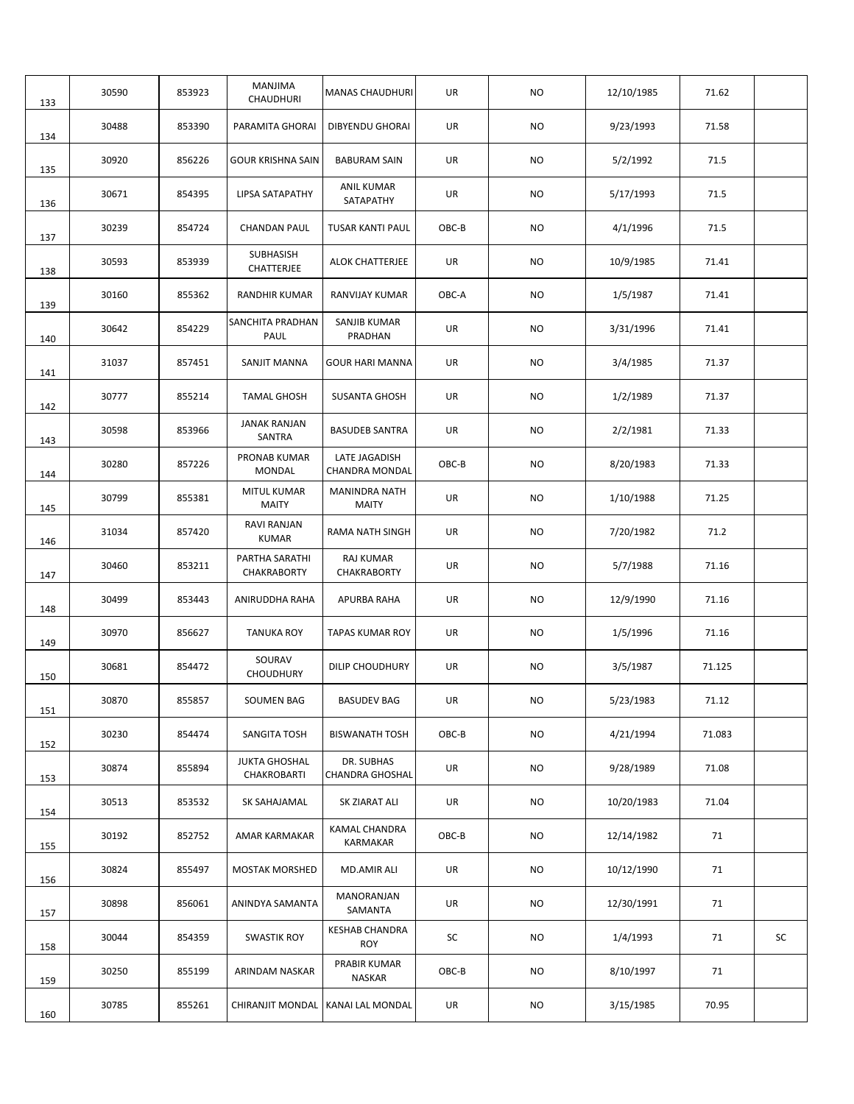| 133 | 30590 | 853923 | MANJIMA<br>CHAUDHURI                | <b>MANAS CHAUDHURI</b>                 | UR    | <b>NO</b> | 12/10/1985 | 71.62  |    |
|-----|-------|--------|-------------------------------------|----------------------------------------|-------|-----------|------------|--------|----|
| 134 | 30488 | 853390 | PARAMITA GHORAI                     | <b>DIBYENDU GHORAI</b>                 | UR    | NO.       | 9/23/1993  | 71.58  |    |
| 135 | 30920 | 856226 | <b>GOUR KRISHNA SAIN</b>            | <b>BABURAM SAIN</b>                    | UR    | NO.       | 5/2/1992   | 71.5   |    |
| 136 | 30671 | 854395 | LIPSA SATAPATHY                     | <b>ANIL KUMAR</b><br>SATAPATHY         | UR    | NO.       | 5/17/1993  | 71.5   |    |
| 137 | 30239 | 854724 | <b>CHANDAN PAUL</b>                 | <b>TUSAR KANTI PAUL</b>                | OBC-B | NO.       | 4/1/1996   | 71.5   |    |
| 138 | 30593 | 853939 | SUBHASISH<br>CHATTERJEE             | <b>ALOK CHATTERJEE</b>                 | UR    | NO.       | 10/9/1985  | 71.41  |    |
| 139 | 30160 | 855362 | <b>RANDHIR KUMAR</b>                | <b>RANVIJAY KUMAR</b>                  | OBC-A | NO.       | 1/5/1987   | 71.41  |    |
| 140 | 30642 | 854229 | SANCHITA PRADHAN<br>PAUL            | SANJIB KUMAR<br>PRADHAN                | UR    | NO.       | 3/31/1996  | 71.41  |    |
| 141 | 31037 | 857451 | SANJIT MANNA                        | <b>GOUR HARI MANNA</b>                 | UR    | <b>NO</b> | 3/4/1985   | 71.37  |    |
| 142 | 30777 | 855214 | <b>TAMAL GHOSH</b>                  | <b>SUSANTA GHOSH</b>                   | UR    | <b>NO</b> | 1/2/1989   | 71.37  |    |
| 143 | 30598 | 853966 | <b>JANAK RANJAN</b><br>SANTRA       | <b>BASUDEB SANTRA</b>                  | UR    | NO.       | 2/2/1981   | 71.33  |    |
| 144 | 30280 | 857226 | PRONAB KUMAR<br><b>MONDAL</b>       | LATE JAGADISH<br><b>CHANDRA MONDAL</b> | OBC-B | NO.       | 8/20/1983  | 71.33  |    |
| 145 | 30799 | 855381 | MITUL KUMAR<br><b>MAITY</b>         | MANINDRA NATH<br><b>MAITY</b>          | UR    | NO.       | 1/10/1988  | 71.25  |    |
| 146 | 31034 | 857420 | RAVI RANJAN<br><b>KUMAR</b>         | RAMA NATH SINGH                        | UR    | NO.       | 7/20/1982  | 71.2   |    |
| 147 | 30460 | 853211 | PARTHA SARATHI<br>CHAKRABORTY       | RAJ KUMAR<br>CHAKRABORTY               | UR    | NO.       | 5/7/1988   | 71.16  |    |
| 148 | 30499 | 853443 | ANIRUDDHA RAHA                      | APURBA RAHA                            | UR    | NO.       | 12/9/1990  | 71.16  |    |
| 149 | 30970 | 856627 | <b>TANUKA ROY</b>                   | <b>TAPAS KUMAR ROY</b>                 | UR    | NO.       | 1/5/1996   | 71.16  |    |
| 150 | 30681 | 854472 | SOURAV<br><b>CHOUDHURY</b>          | DILIP CHOUDHURY                        | UR    | NO.       | 3/5/1987   | 71.125 |    |
| 151 | 30870 | 855857 | SOUMEN BAG                          | <b>BASUDEV BAG</b>                     | UR    | NO        | 5/23/1983  | 71.12  |    |
| 152 | 30230 | 854474 | SANGITA TOSH                        | <b>BISWANATH TOSH</b>                  | OBC-B | <b>NO</b> | 4/21/1994  | 71.083 |    |
| 153 | 30874 | 855894 | <b>JUKTA GHOSHAL</b><br>CHAKROBARTI | DR. SUBHAS<br><b>CHANDRA GHOSHAL</b>   | UR    | <b>NO</b> | 9/28/1989  | 71.08  |    |
| 154 | 30513 | 853532 | SK SAHAJAMAL                        | SK ZIARAT ALI                          | UR    | <b>NO</b> | 10/20/1983 | 71.04  |    |
| 155 | 30192 | 852752 | AMAR KARMAKAR                       | KAMAL CHANDRA<br>KARMAKAR              | OBC-B | NO        | 12/14/1982 | 71     |    |
| 156 | 30824 | 855497 | <b>MOSTAK MORSHED</b>               | MD.AMIR ALI                            | UR    | NO        | 10/12/1990 | 71     |    |
| 157 | 30898 | 856061 | ANINDYA SAMANTA                     | MANORANJAN<br>SAMANTA                  | UR    | NO        | 12/30/1991 | 71     |    |
| 158 | 30044 | 854359 | <b>SWASTIK ROY</b>                  | <b>KESHAB CHANDRA</b><br><b>ROY</b>    | SC    | NO.       | 1/4/1993   | 71     | SC |
| 159 | 30250 | 855199 | ARINDAM NASKAR                      | PRABIR KUMAR<br>NASKAR                 | OBC-B | NO        | 8/10/1997  | 71     |    |
| 160 | 30785 | 855261 | CHIRANJIT MONDAL                    | KANAI LAL MONDAL                       | UR    | NO        | 3/15/1985  | 70.95  |    |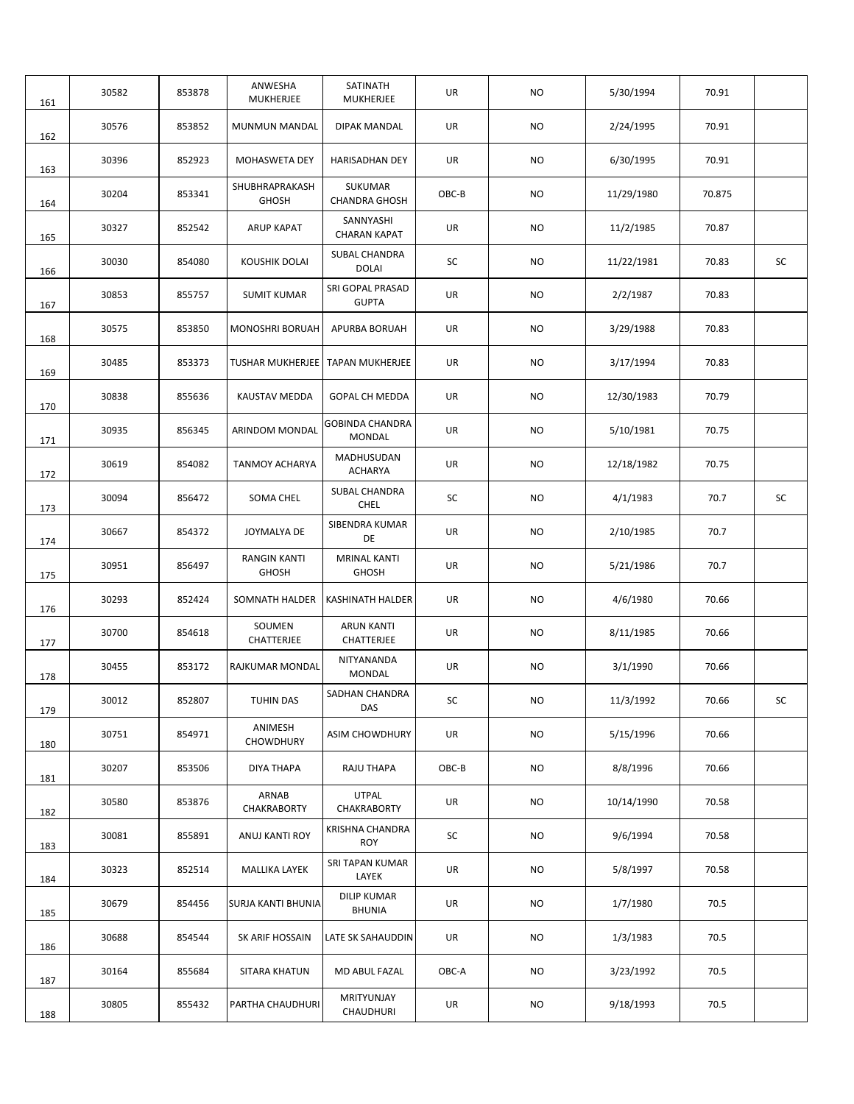| 161 | 30582 | 853878 | ANWESHA<br>MUKHERJEE                | SATINATH<br>MUKHERJEE                   | UR    | <b>NO</b> | 5/30/1994  | 70.91  |    |
|-----|-------|--------|-------------------------------------|-----------------------------------------|-------|-----------|------------|--------|----|
| 162 | 30576 | 853852 | <b>MUNMUN MANDAL</b>                | <b>DIPAK MANDAL</b>                     | UR    | <b>NO</b> | 2/24/1995  | 70.91  |    |
| 163 | 30396 | 852923 | MOHASWETA DEY                       | <b>HARISADHAN DEY</b>                   | UR    | NO.       | 6/30/1995  | 70.91  |    |
| 164 | 30204 | 853341 | SHUBHRAPRAKASH<br><b>GHOSH</b>      | <b>SUKUMAR</b><br><b>CHANDRA GHOSH</b>  | OBC-B | <b>NO</b> | 11/29/1980 | 70.875 |    |
| 165 | 30327 | 852542 | <b>ARUP KAPAT</b>                   | SANNYASHI<br><b>CHARAN KAPAT</b>        | UR    | NO.       | 11/2/1985  | 70.87  |    |
| 166 | 30030 | 854080 | KOUSHIK DOLAI                       | SUBAL CHANDRA<br><b>DOLAI</b>           | SC    | NO        | 11/22/1981 | 70.83  | SC |
| 167 | 30853 | 855757 | <b>SUMIT KUMAR</b>                  | SRI GOPAL PRASAD<br><b>GUPTA</b>        | UR    | <b>NO</b> | 2/2/1987   | 70.83  |    |
| 168 | 30575 | 853850 | <b>MONOSHRI BORUAH</b>              | APURBA BORUAH                           | UR    | <b>NO</b> | 3/29/1988  | 70.83  |    |
| 169 | 30485 | 853373 | <b>TUSHAR MUKHERJEE</b>             | <b>TAPAN MUKHERJEE</b>                  | UR    | <b>NO</b> | 3/17/1994  | 70.83  |    |
| 170 | 30838 | 855636 | <b>KAUSTAV MEDDA</b>                | <b>GOPAL CH MEDDA</b>                   | UR    | <b>NO</b> | 12/30/1983 | 70.79  |    |
| 171 | 30935 | 856345 | ARINDOM MONDAL                      | <b>GOBINDA CHANDRA</b><br><b>MONDAL</b> | UR    | <b>NO</b> | 5/10/1981  | 70.75  |    |
| 172 | 30619 | 854082 | <b>TANMOY ACHARYA</b>               | MADHUSUDAN<br><b>ACHARYA</b>            | UR    | NO.       | 12/18/1982 | 70.75  |    |
| 173 | 30094 | 856472 | SOMA CHEL                           | SUBAL CHANDRA<br><b>CHEL</b>            | SC    | NO.       | 4/1/1983   | 70.7   | SC |
| 174 | 30667 | 854372 | JOYMALYA DE                         | SIBENDRA KUMAR<br>DE                    | UR    | NO.       | 2/10/1985  | 70.7   |    |
| 175 | 30951 | 856497 | <b>RANGIN KANTI</b><br><b>GHOSH</b> | <b>MRINAL KANTI</b><br><b>GHOSH</b>     | UR    | NO.       | 5/21/1986  | 70.7   |    |
| 176 | 30293 | 852424 |                                     | SOMNATH HALDER   KASHINATH HALDER       | UR    | <b>NO</b> | 4/6/1980   | 70.66  |    |
| 177 | 30700 | 854618 | SOUMEN<br>CHATTERJEE                | <b>ARUN KANTI</b><br>CHATTERJEE         | UR    | NO.       | 8/11/1985  | 70.66  |    |
| 178 | 30455 | 853172 | RAJKUMAR MONDAL                     | NITYANANDA<br><b>MONDAL</b>             | UR    | NO        | 3/1/1990   | 70.66  |    |
| 179 | 30012 | 852807 | TUHIN DAS                           | SADHAN CHANDRA<br>DAS                   | SC    | NO        | 11/3/1992  | 70.66  | SC |
| 180 | 30751 | 854971 | ANIMESH<br>CHOWDHURY                | <b>ASIM CHOWDHURY</b>                   | UR    | <b>NO</b> | 5/15/1996  | 70.66  |    |
| 181 | 30207 | 853506 | DIYA THAPA                          | RAJU THAPA                              | OBC-B | <b>NO</b> | 8/8/1996   | 70.66  |    |
| 182 | 30580 | 853876 | ARNAB<br>CHAKRABORTY                | <b>UTPAL</b><br>CHAKRABORTY             | UR    | <b>NO</b> | 10/14/1990 | 70.58  |    |
| 183 | 30081 | 855891 | ANUJ KANTI ROY                      | <b>KRISHNA CHANDRA</b><br><b>ROY</b>    | SC    | NO.       | 9/6/1994   | 70.58  |    |
| 184 | 30323 | 852514 | <b>MALLIKA LAYEK</b>                | SRI TAPAN KUMAR<br>LAYEK                | UR    | NO.       | 5/8/1997   | 70.58  |    |
| 185 | 30679 | 854456 | SURJA KANTI BHUNIA                  | <b>DILIP KUMAR</b><br><b>BHUNIA</b>     | UR    | NO        | 1/7/1980   | 70.5   |    |
| 186 | 30688 | 854544 | SK ARIF HOSSAIN                     | LATE SK SAHAUDDIN                       | UR    | NO        | 1/3/1983   | 70.5   |    |
| 187 | 30164 | 855684 | SITARA KHATUN                       | MD ABUL FAZAL                           | OBC-A | NO        | 3/23/1992  | 70.5   |    |
| 188 | 30805 | 855432 | PARTHA CHAUDHURI                    | MRITYUNJAY<br>CHAUDHURI                 | UR    | NO        | 9/18/1993  | 70.5   |    |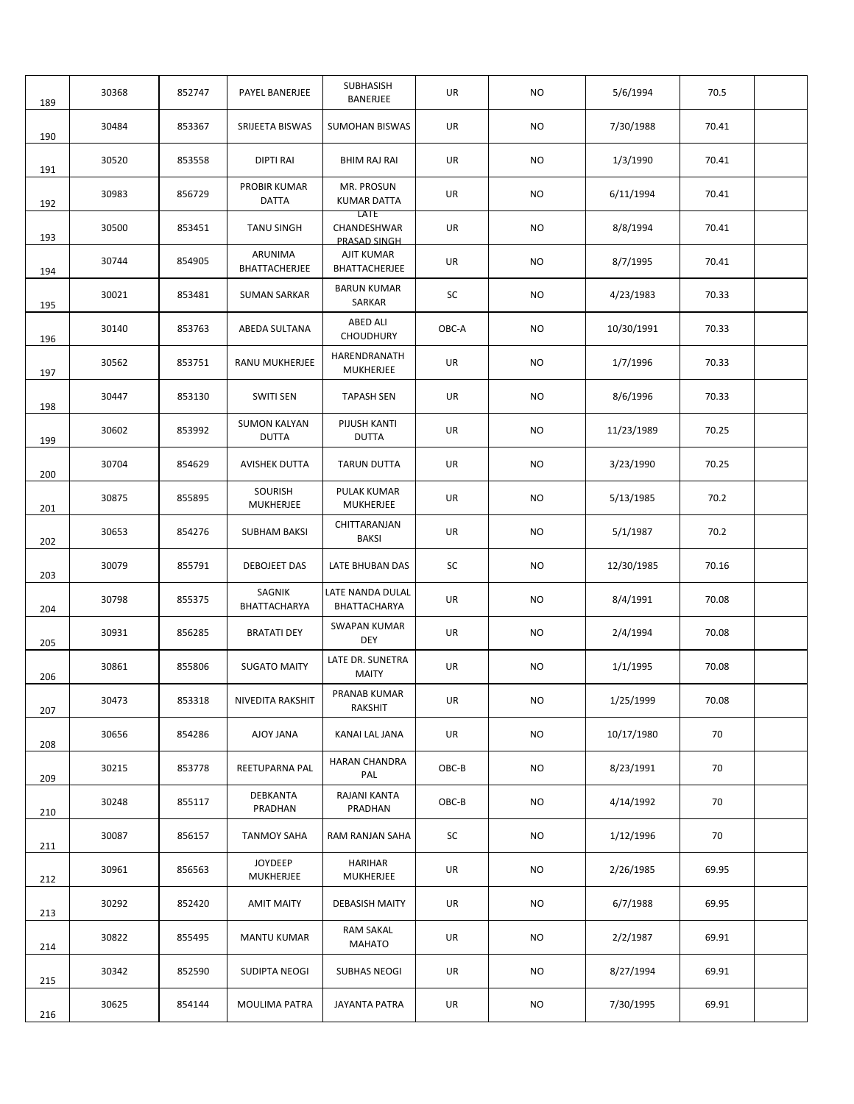| 189 | 30368 | 852747 | PAYEL BANERJEE                      | SUBHASISH<br><b>BANERJEE</b>        | UR        | NO.       | 5/6/1994   | 70.5  |  |
|-----|-------|--------|-------------------------------------|-------------------------------------|-----------|-----------|------------|-------|--|
| 190 | 30484 | 853367 | SRIJEETA BISWAS                     | <b>SUMOHAN BISWAS</b>               | UR        | NO.       | 7/30/1988  | 70.41 |  |
| 191 | 30520 | 853558 | <b>DIPTI RAI</b>                    | <b>BHIM RAJ RAI</b>                 | UR        | NO.       | 1/3/1990   | 70.41 |  |
| 192 | 30983 | 856729 | PROBIR KUMAR<br><b>DATTA</b>        | MR. PROSUN<br>KUMAR DATTA           | UR        | <b>NO</b> | 6/11/1994  | 70.41 |  |
| 193 | 30500 | 853451 | <b>TANU SINGH</b>                   | LATE<br>CHANDESHWAR<br>PRASAD SINGH | <b>UR</b> | NO.       | 8/8/1994   | 70.41 |  |
| 194 | 30744 | 854905 | ARUNIMA<br>BHATTACHERJEE            | AJIT KUMAR<br>BHATTACHERJEE         | UR        | <b>NO</b> | 8/7/1995   | 70.41 |  |
| 195 | 30021 | 853481 | <b>SUMAN SARKAR</b>                 | <b>BARUN KUMAR</b><br>SARKAR        | SC        | NO.       | 4/23/1983  | 70.33 |  |
| 196 | 30140 | 853763 | ABEDA SULTANA                       | ABED ALI<br><b>CHOUDHURY</b>        | OBC-A     | NO.       | 10/30/1991 | 70.33 |  |
| 197 | 30562 | 853751 | <b>RANU MUKHERJEE</b>               | HARENDRANATH<br><b>MUKHERJEE</b>    | UR        | <b>NO</b> | 1/7/1996   | 70.33 |  |
| 198 | 30447 | 853130 | <b>SWITI SEN</b>                    | <b>TAPASH SEN</b>                   | UR        | NO.       | 8/6/1996   | 70.33 |  |
| 199 | 30602 | 853992 | <b>SUMON KALYAN</b><br><b>DUTTA</b> | PIJUSH KANTI<br><b>DUTTA</b>        | UR        | <b>NO</b> | 11/23/1989 | 70.25 |  |
| 200 | 30704 | 854629 | <b>AVISHEK DUTTA</b>                | TARUN DUTTA                         | UR        | <b>NO</b> | 3/23/1990  | 70.25 |  |
| 201 | 30875 | 855895 | SOURISH<br>MUKHERJEE                | PULAK KUMAR<br>MUKHERJEE            | UR        | <b>NO</b> | 5/13/1985  | 70.2  |  |
| 202 | 30653 | 854276 | <b>SUBHAM BAKSI</b>                 | CHITTARANJAN<br><b>BAKSI</b>        | UR        | <b>NO</b> | 5/1/1987   | 70.2  |  |
| 203 | 30079 | 855791 | <b>DEBOJEET DAS</b>                 | LATE BHUBAN DAS                     | SC        | <b>NO</b> | 12/30/1985 | 70.16 |  |
| 204 | 30798 | 855375 | SAGNIK<br>BHATTACHARYA              | LATE NANDA DULAL<br>BHATTACHARYA    | UR        | <b>NO</b> | 8/4/1991   | 70.08 |  |
| 205 | 30931 | 856285 | <b>BRATATI DEY</b>                  | <b>SWAPAN KUMAR</b><br>DEY          | UR        | <b>NO</b> | 2/4/1994   | 70.08 |  |
| 206 | 30861 | 855806 | <b>SUGATO MAITY</b>                 | LATE DR. SUNETRA<br><b>MAITY</b>    | UR        | <b>NO</b> | 1/1/1995   | 70.08 |  |
| 207 | 30473 | 853318 | NIVEDITA RAKSHIT                    | PRANAB KUMAR<br>RAKSHIT             | UR        | <b>NO</b> | 1/25/1999  | 70.08 |  |
| 208 | 30656 | 854286 | AJOY JANA                           | KANAI LAL JANA                      | UR        | NO        | 10/17/1980 | 70    |  |
| 209 | 30215 | 853778 | REETUPARNA PAL                      | HARAN CHANDRA<br>PAL                | OBC-B     | NO        | 8/23/1991  | 70    |  |
| 210 | 30248 | 855117 | DEBKANTA<br>PRADHAN                 | RAJANI KANTA<br>PRADHAN             | OBC-B     | NO.       | 4/14/1992  | 70    |  |
| 211 | 30087 | 856157 | <b>TANMOY SAHA</b>                  | RAM RANJAN SAHA                     | SC        | NO.       | 1/12/1996  | 70    |  |
| 212 | 30961 | 856563 | <b>JOYDEEP</b><br>MUKHERJEE         | <b>HARIHAR</b><br>MUKHERJEE         | UR        | <b>NO</b> | 2/26/1985  | 69.95 |  |
| 213 | 30292 | 852420 | <b>AMIT MAITY</b>                   | DEBASISH MAITY                      | UR        | NO        | 6/7/1988   | 69.95 |  |
| 214 | 30822 | 855495 | <b>MANTU KUMAR</b>                  | <b>RAM SAKAL</b><br>MAHATO          | UR        | NO        | 2/2/1987   | 69.91 |  |
| 215 | 30342 | 852590 | SUDIPTA NEOGI                       | <b>SUBHAS NEOGI</b>                 | UR        | NO        | 8/27/1994  | 69.91 |  |
| 216 | 30625 | 854144 | MOULIMA PATRA                       | <b>JAYANTA PATRA</b>                | UR        | NO        | 7/30/1995  | 69.91 |  |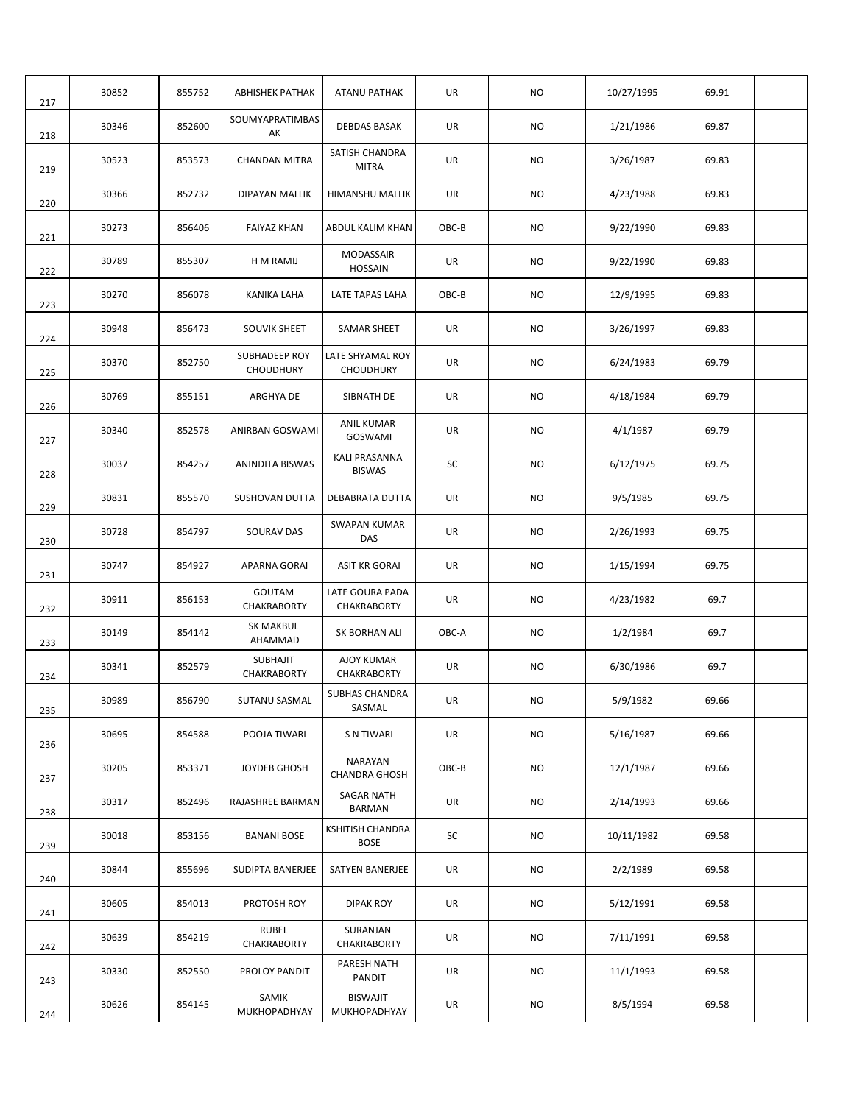| 217 | 30852 | 855752 | <b>ABHISHEK PATHAK</b>            | ATANU PATHAK                         | UR    | NO.       | 10/27/1995 | 69.91 |  |
|-----|-------|--------|-----------------------------------|--------------------------------------|-------|-----------|------------|-------|--|
| 218 | 30346 | 852600 | SOUMYAPRATIMBAS<br>AK             | DEBDAS BASAK                         | UR    | NO.       | 1/21/1986  | 69.87 |  |
| 219 | 30523 | 853573 | <b>CHANDAN MITRA</b>              | SATISH CHANDRA<br><b>MITRA</b>       | UR    | <b>NO</b> | 3/26/1987  | 69.83 |  |
| 220 | 30366 | 852732 | DIPAYAN MALLIK                    | HIMANSHU MALLIK                      | UR    | NO.       | 4/23/1988  | 69.83 |  |
| 221 | 30273 | 856406 | <b>FAIYAZ KHAN</b>                | ABDUL KALIM KHAN                     | OBC-B | NO.       | 9/22/1990  | 69.83 |  |
| 222 | 30789 | 855307 | H M RAMIJ                         | <b>MODASSAIR</b><br><b>HOSSAIN</b>   | UR    | NO.       | 9/22/1990  | 69.83 |  |
| 223 | 30270 | 856078 | <b>KANIKA LAHA</b>                | LATE TAPAS LAHA                      | OBC-B | NO        | 12/9/1995  | 69.83 |  |
| 224 | 30948 | 856473 | <b>SOUVIK SHEET</b>               | <b>SAMAR SHEET</b>                   | UR    | NO.       | 3/26/1997  | 69.83 |  |
| 225 | 30370 | 852750 | SUBHADEEP ROY<br><b>CHOUDHURY</b> | LATE SHYAMAL ROY<br><b>CHOUDHURY</b> | UR    | NO.       | 6/24/1983  | 69.79 |  |
| 226 | 30769 | 855151 | ARGHYA DE                         | SIBNATH DE                           | UR    | <b>NO</b> | 4/18/1984  | 69.79 |  |
| 227 | 30340 | 852578 | ANIRBAN GOSWAMI                   | ANIL KUMAR<br>GOSWAMI                | UR    | NO.       | 4/1/1987   | 69.79 |  |
| 228 | 30037 | 854257 | <b>ANINDITA BISWAS</b>            | KALI PRASANNA<br><b>BISWAS</b>       | SC    | NO.       | 6/12/1975  | 69.75 |  |
| 229 | 30831 | 855570 | SUSHOVAN DUTTA                    | DEBABRATA DUTTA                      | UR    | <b>NO</b> | 9/5/1985   | 69.75 |  |
| 230 | 30728 | 854797 | SOURAV DAS                        | <b>SWAPAN KUMAR</b><br>DAS           | UR    | NO.       | 2/26/1993  | 69.75 |  |
| 231 | 30747 | 854927 | APARNA GORAI                      | ASIT KR GORAI                        | UR    | NO.       | 1/15/1994  | 69.75 |  |
| 232 | 30911 | 856153 | GOUTAM<br>CHAKRABORTY             | LATE GOURA PADA<br>CHAKRABORTY       | UR    | NO.       | 4/23/1982  | 69.7  |  |
| 233 | 30149 | 854142 | <b>SK MAKBUL</b><br>AHAMMAD       | SK BORHAN ALI                        | OBC-A | NO.       | 1/2/1984   | 69.7  |  |
| 234 | 30341 | 852579 | SUBHAJIT<br>CHAKRABORTY           | <b>AJOY KUMAR</b><br>CHAKRABORTY     | UR    | NO.       | 6/30/1986  | 69.7  |  |
| 235 | 30989 | 856790 | SUTANU SASMAL                     | <b>SUBHAS CHANDRA</b><br>SASMAL      | UR    | <b>NO</b> | 5/9/1982   | 69.66 |  |
| 236 | 30695 | 854588 | POOJA TIWARI                      | S N TIWARI                           | UR    | NO        | 5/16/1987  | 69.66 |  |
| 237 | 30205 | 853371 | JOYDEB GHOSH                      | NARAYAN<br><b>CHANDRA GHOSH</b>      | OBC-B | NO        | 12/1/1987  | 69.66 |  |
| 238 | 30317 | 852496 | RAJASHREE BARMAN                  | SAGAR NATH<br>BARMAN                 | UR    | <b>NO</b> | 2/14/1993  | 69.66 |  |
| 239 | 30018 | 853156 | <b>BANANI BOSE</b>                | KSHITISH CHANDRA<br><b>BOSE</b>      | SC    | <b>NO</b> | 10/11/1982 | 69.58 |  |
| 240 | 30844 | 855696 | SUDIPTA BANERJEE                  | SATYEN BANERJEE                      | UR    | NO.       | 2/2/1989   | 69.58 |  |
| 241 | 30605 | 854013 | PROTOSH ROY                       | DIPAK ROY                            | UR    | NO        | 5/12/1991  | 69.58 |  |
| 242 | 30639 | 854219 | <b>RUBEL</b><br>CHAKRABORTY       | SURANJAN<br><b>CHAKRABORTY</b>       | UR    | NO        | 7/11/1991  | 69.58 |  |
| 243 | 30330 | 852550 | PROLOY PANDIT                     | PARESH NATH<br>PANDIT                | UR    | NO        | 11/1/1993  | 69.58 |  |
| 244 | 30626 | 854145 | SAMIK<br>MUKHOPADHYAY             | <b>BISWAJIT</b><br>MUKHOPADHYAY      | UR    | NO        | 8/5/1994   | 69.58 |  |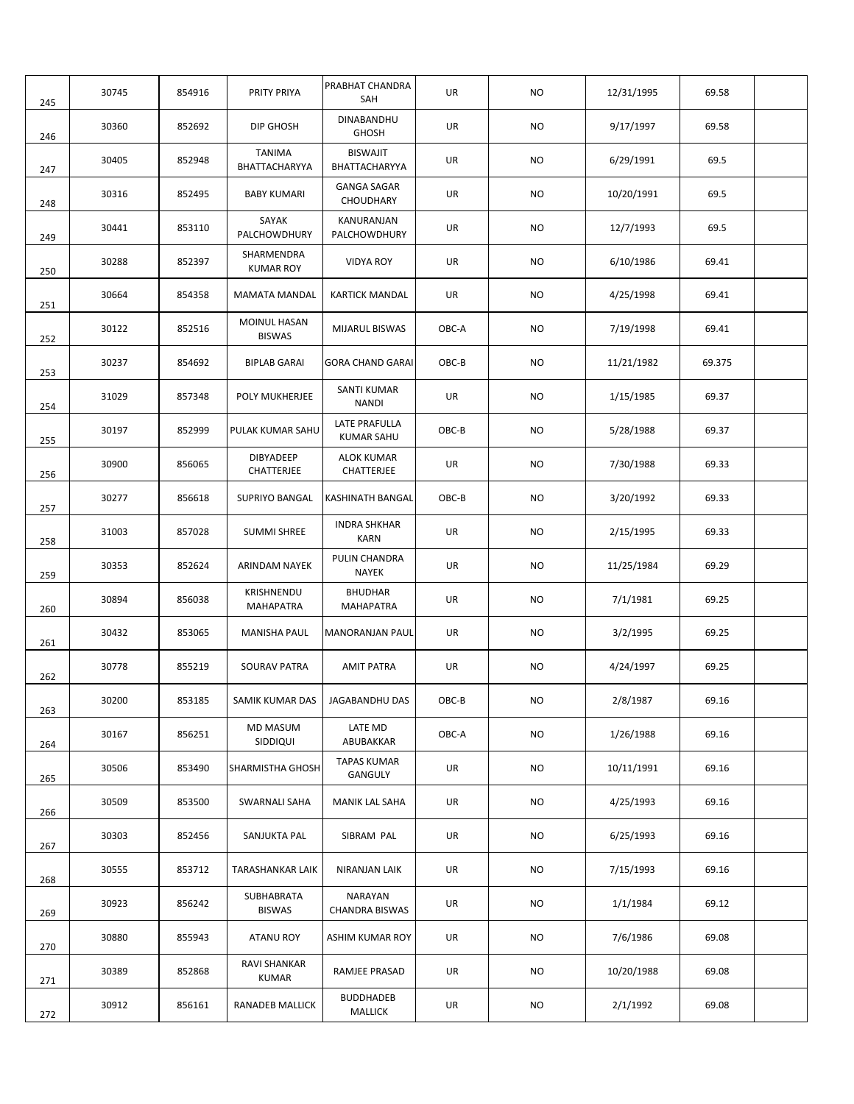| 245 | 30745 | 854916 | PRITY PRIYA                    | PRABHAT CHANDRA<br>SAH             | UR        | <b>NO</b> | 12/31/1995 | 69.58  |  |
|-----|-------|--------|--------------------------------|------------------------------------|-----------|-----------|------------|--------|--|
| 246 | 30360 | 852692 | DIP GHOSH                      | DINABANDHU<br><b>GHOSH</b>         | UR        | NO.       | 9/17/1997  | 69.58  |  |
| 247 | 30405 | 852948 | <b>TANIMA</b><br>BHATTACHARYYA | <b>BISWAJIT</b><br>BHATTACHARYYA   | UR        | NO.       | 6/29/1991  | 69.5   |  |
| 248 | 30316 | 852495 | <b>BABY KUMARI</b>             | <b>GANGA SAGAR</b><br>CHOUDHARY    | UR        | NO.       | 10/20/1991 | 69.5   |  |
| 249 | 30441 | 853110 | SAYAK<br>PALCHOWDHURY          | KANURANJAN<br>PALCHOWDHURY         | <b>UR</b> | NO.       | 12/7/1993  | 69.5   |  |
| 250 | 30288 | 852397 | SHARMENDRA<br><b>KUMAR ROY</b> | <b>VIDYA ROY</b>                   | UR        | NO.       | 6/10/1986  | 69.41  |  |
| 251 | 30664 | 854358 | <b>MAMATA MANDAL</b>           | <b>KARTICK MANDAL</b>              | UR        | NO.       | 4/25/1998  | 69.41  |  |
| 252 | 30122 | 852516 | MOINUL HASAN<br><b>BISWAS</b>  | MIJARUL BISWAS                     | OBC-A     | NO.       | 7/19/1998  | 69.41  |  |
| 253 | 30237 | 854692 | <b>BIPLAB GARAI</b>            | <b>GORA CHAND GARAI</b>            | OBC-B     | NO.       | 11/21/1982 | 69.375 |  |
| 254 | 31029 | 857348 | POLY MUKHERJEE                 | SANTI KUMAR<br><b>NANDI</b>        | UR        | NO.       | 1/15/1985  | 69.37  |  |
| 255 | 30197 | 852999 | PULAK KUMAR SAHU               | LATE PRAFULLA<br><b>KUMAR SAHU</b> | OBC-B     | NO        | 5/28/1988  | 69.37  |  |
| 256 | 30900 | 856065 | DIBYADEEP<br>CHATTERJEE        | ALOK KUMAR<br>CHATTERJEE           | UR        | NO        | 7/30/1988  | 69.33  |  |
| 257 | 30277 | 856618 | <b>SUPRIYO BANGAL</b>          | KASHINATH BANGAL                   | OBC-B     | NO.       | 3/20/1992  | 69.33  |  |
| 258 | 31003 | 857028 | <b>SUMMI SHREE</b>             | <b>INDRA SHKHAR</b><br><b>KARN</b> | UR        | <b>NO</b> | 2/15/1995  | 69.33  |  |
| 259 | 30353 | 852624 | ARINDAM NAYEK                  | PULIN CHANDRA<br><b>NAYEK</b>      | UR        | NO.       | 11/25/1984 | 69.29  |  |
| 260 | 30894 | 856038 | KRISHNENDU<br><b>MAHAPATRA</b> | <b>BHUDHAR</b><br><b>MAHAPATRA</b> | UR        | NO.       | 7/1/1981   | 69.25  |  |
| 261 | 30432 | 853065 | <b>MANISHA PAUL</b>            | <b>MANORANJAN PAUL</b>             | UR        | NO.       | 3/2/1995   | 69.25  |  |
| 262 | 30778 | 855219 | <b>SOURAV PATRA</b>            | <b>AMIT PATRA</b>                  | UR        | NO.       | 4/24/1997  | 69.25  |  |
| 263 | 30200 | 853185 | SAMIK KUMAR DAS                | JAGABANDHU DAS                     | $OBC-B$   | <b>NO</b> | 2/8/1987   | 69.16  |  |
| 264 | 30167 | 856251 | MD MASUM<br>SIDDIQUI           | LATE MD<br>ABUBAKKAR               | OBC-A     | <b>NO</b> | 1/26/1988  | 69.16  |  |
| 265 | 30506 | 853490 | SHARMISTHA GHOSH               | <b>TAPAS KUMAR</b><br>GANGULY      | UR        | NO.       | 10/11/1991 | 69.16  |  |
| 266 | 30509 | 853500 | SWARNALI SAHA                  | MANIK LAL SAHA                     | UR        | NO.       | 4/25/1993  | 69.16  |  |
| 267 | 30303 | 852456 | SANJUKTA PAL                   | SIBRAM PAL                         | UR        | NO.       | 6/25/1993  | 69.16  |  |
| 268 | 30555 | 853712 | TARASHANKAR LAIK               | NIRANJAN LAIK                      | UR        | NO        | 7/15/1993  | 69.16  |  |
| 269 | 30923 | 856242 | SUBHABRATA<br><b>BISWAS</b>    | NARAYAN<br><b>CHANDRA BISWAS</b>   | UR        | NO        | 1/1/1984   | 69.12  |  |
| 270 | 30880 | 855943 | <b>ATANU ROY</b>               | ASHIM KUMAR ROY                    | UR        | NO        | 7/6/1986   | 69.08  |  |
| 271 | 30389 | 852868 | RAVI SHANKAR<br><b>KUMAR</b>   | RAMJEE PRASAD                      | UR        | NO.       | 10/20/1988 | 69.08  |  |
| 272 | 30912 | 856161 | RANADEB MALLICK                | <b>BUDDHADEB</b><br>MALLICK        | UR        | NO        | 2/1/1992   | 69.08  |  |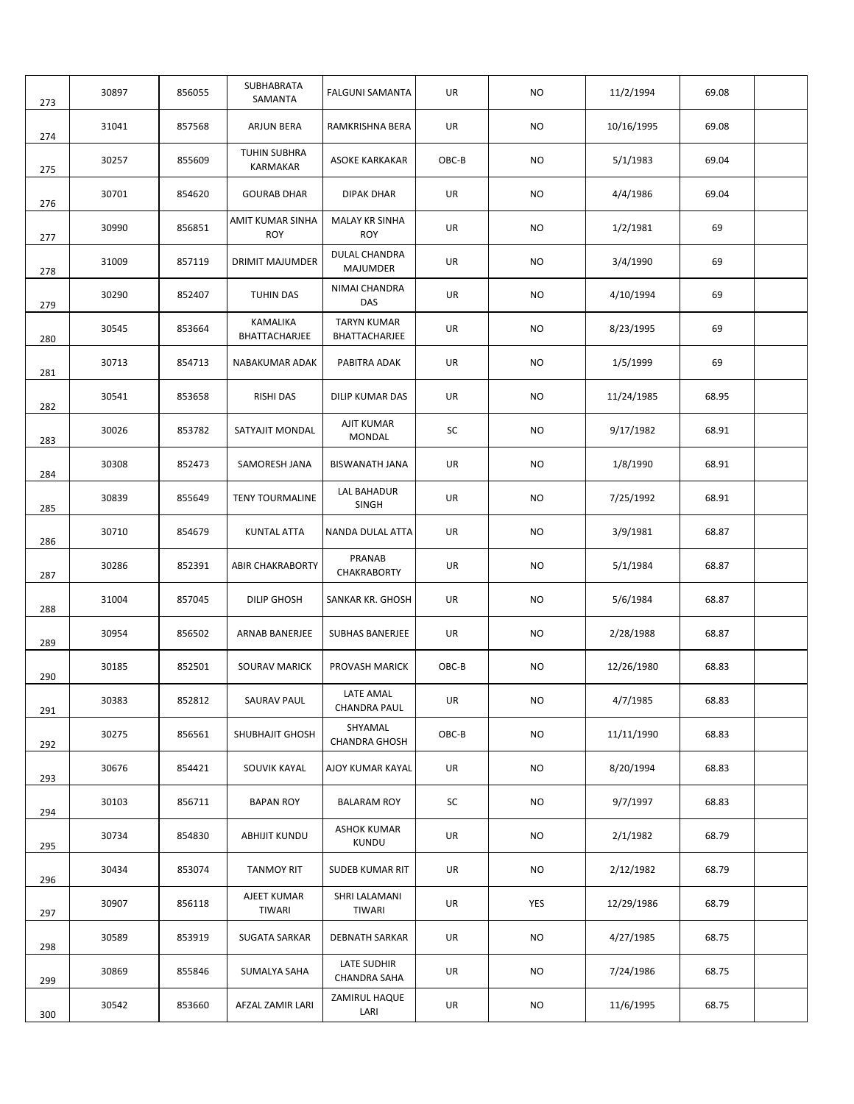| 273 | 30897 | 856055 | SUBHABRATA<br>SAMANTA          | <b>FALGUNI SAMANTA</b>              | UR        | NO.       | 11/2/1994  | 69.08 |  |
|-----|-------|--------|--------------------------------|-------------------------------------|-----------|-----------|------------|-------|--|
| 274 | 31041 | 857568 | ARJUN BERA                     | <b>RAMKRISHNA BERA</b>              | UR        | NO.       | 10/16/1995 | 69.08 |  |
| 275 | 30257 | 855609 | TUHIN SUBHRA<br>KARMAKAR       | <b>ASOKE KARKAKAR</b>               | OBC-B     | NO.       | 5/1/1983   | 69.04 |  |
| 276 | 30701 | 854620 | <b>GOURAB DHAR</b>             | <b>DIPAK DHAR</b>                   | UR        | NO.       | 4/4/1986   | 69.04 |  |
| 277 | 30990 | 856851 | AMIT KUMAR SINHA<br><b>ROY</b> | <b>MALAY KR SINHA</b><br><b>ROY</b> | UR        | NO        | 1/2/1981   | 69    |  |
| 278 | 31009 | 857119 | DRIMIT MAJUMDER                | DULAL CHANDRA<br>MAJUMDER           | UR        | NO        | 3/4/1990   | 69    |  |
| 279 | 30290 | 852407 | TUHIN DAS                      | NIMAI CHANDRA<br>DAS                | UR        | NO.       | 4/10/1994  | 69    |  |
| 280 | 30545 | 853664 | KAMALIKA<br>BHATTACHARJEE      | <b>TARYN KUMAR</b><br>BHATTACHARJEE | UR        | NO        | 8/23/1995  | 69    |  |
| 281 | 30713 | 854713 | NABAKUMAR ADAK                 | PABITRA ADAK                        | UR        | NO.       | 1/5/1999   | 69    |  |
| 282 | 30541 | 853658 | <b>RISHI DAS</b>               | DILIP KUMAR DAS                     | UR        | NO.       | 11/24/1985 | 68.95 |  |
| 283 | 30026 | 853782 | SATYAJIT MONDAL                | AJIT KUMAR<br>MONDAL                | SC        | NO.       | 9/17/1982  | 68.91 |  |
| 284 | 30308 | 852473 | SAMORESH JANA                  | <b>BISWANATH JANA</b>               | UR        | NO.       | 1/8/1990   | 68.91 |  |
| 285 | 30839 | 855649 | <b>TENY TOURMALINE</b>         | LAL BAHADUR<br><b>SINGH</b>         | UR        | NO        | 7/25/1992  | 68.91 |  |
| 286 | 30710 | 854679 | <b>KUNTAL ATTA</b>             | NANDA DULAL ATTA                    | UR        | NO.       | 3/9/1981   | 68.87 |  |
| 287 | 30286 | 852391 | <b>ABIR CHAKRABORTY</b>        | PRANAB<br>CHAKRABORTY               | UR        | NO.       | 5/1/1984   | 68.87 |  |
| 288 | 31004 | 857045 | <b>DILIP GHOSH</b>             | SANKAR KR. GHOSH                    | UR        | NO.       | 5/6/1984   | 68.87 |  |
| 289 | 30954 | 856502 | ARNAB BANERJEE                 | SUBHAS BANERJEE                     | UR        | NO.       | 2/28/1988  | 68.87 |  |
| 290 | 30185 | 852501 | <b>SOURAV MARICK</b>           | PROVASH MARICK                      | OBC-B     | NO.       | 12/26/1980 | 68.83 |  |
| 291 | 30383 | 852812 | SAURAV PAUL                    | LATE AMAL<br><b>CHANDRA PAUL</b>    | <b>UR</b> | NO        | 4/7/1985   | 68.83 |  |
| 292 | 30275 | 856561 | SHUBHAJIT GHOSH                | SHYAMAL<br><b>CHANDRA GHOSH</b>     | OBC-B     | <b>NO</b> | 11/11/1990 | 68.83 |  |
| 293 | 30676 | 854421 | SOUVIK KAYAL                   | AJOY KUMAR KAYAL                    | UR        | NO        | 8/20/1994  | 68.83 |  |
| 294 | 30103 | 856711 | <b>BAPAN ROY</b>               | <b>BALARAM ROY</b>                  | SC        | <b>NO</b> | 9/7/1997   | 68.83 |  |
| 295 | 30734 | 854830 | ABHIJIT KUNDU                  | <b>ASHOK KUMAR</b><br>KUNDU         | UR        | NO        | 2/1/1982   | 68.79 |  |
| 296 | 30434 | 853074 | <b>TANMOY RIT</b>              | SUDEB KUMAR RIT                     | UR        | NO.       | 2/12/1982  | 68.79 |  |
| 297 | 30907 | 856118 | AJEET KUMAR<br><b>TIWARI</b>   | SHRI LALAMANI<br>TIWARI             | UR        | YES       | 12/29/1986 | 68.79 |  |
| 298 | 30589 | 853919 | <b>SUGATA SARKAR</b>           | <b>DEBNATH SARKAR</b>               | UR        | NO        | 4/27/1985  | 68.75 |  |
| 299 | 30869 | 855846 | SUMALYA SAHA                   | LATE SUDHIR<br>CHANDRA SAHA         | UR        | NO        | 7/24/1986  | 68.75 |  |
| 300 | 30542 | 853660 | AFZAL ZAMIR LARI               | ZAMIRUL HAQUE<br>LARI               | UR        | NO        | 11/6/1995  | 68.75 |  |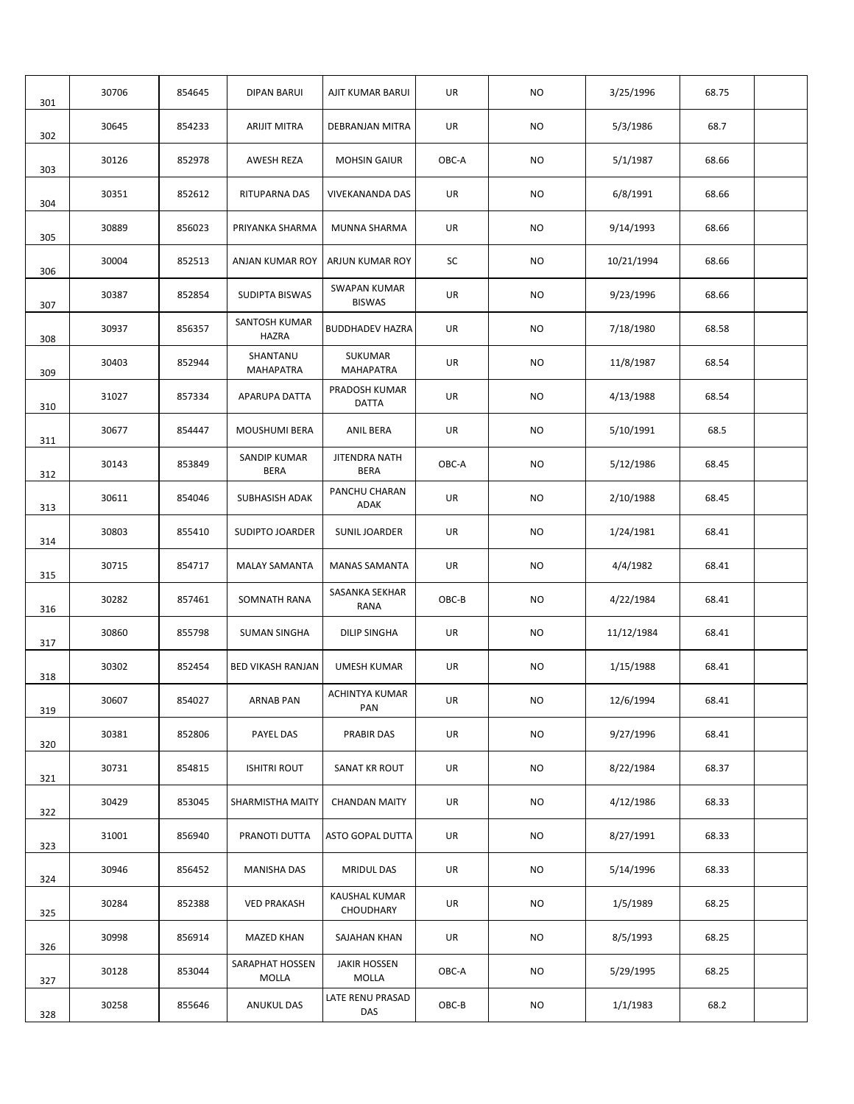| 301 | 30706 | 854645 | <b>DIPAN BARUI</b>            | AJIT KUMAR BARUI                     | UR    | <b>NO</b> | 3/25/1996  | 68.75 |  |
|-----|-------|--------|-------------------------------|--------------------------------------|-------|-----------|------------|-------|--|
| 302 | 30645 | 854233 | <b>ARIJIT MITRA</b>           | DEBRANJAN MITRA                      | UR    | <b>NO</b> | 5/3/1986   | 68.7  |  |
| 303 | 30126 | 852978 | AWESH REZA                    | <b>MOHSIN GAIUR</b>                  | OBC-A | <b>NO</b> | 5/1/1987   | 68.66 |  |
| 304 | 30351 | 852612 | RITUPARNA DAS                 | VIVEKANANDA DAS                      | UR    | NO.       | 6/8/1991   | 68.66 |  |
| 305 | 30889 | 856023 | PRIYANKA SHARMA               | <b>MUNNA SHARMA</b>                  | UR    | <b>NO</b> | 9/14/1993  | 68.66 |  |
| 306 | 30004 | 852513 | ANJAN KUMAR ROY               | ARJUN KUMAR ROY                      | SC    | <b>NO</b> | 10/21/1994 | 68.66 |  |
| 307 | 30387 | 852854 | <b>SUDIPTA BISWAS</b>         | <b>SWAPAN KUMAR</b><br><b>BISWAS</b> | UR    | NO.       | 9/23/1996  | 68.66 |  |
| 308 | 30937 | 856357 | SANTOSH KUMAR<br><b>HAZRA</b> | <b>BUDDHADEV HAZRA</b>               | UR    | <b>NO</b> | 7/18/1980  | 68.58 |  |
| 309 | 30403 | 852944 | SHANTANU<br><b>MAHAPATRA</b>  | SUKUMAR<br><b>MAHAPATRA</b>          | UR    | <b>NO</b> | 11/8/1987  | 68.54 |  |
| 310 | 31027 | 857334 | APARUPA DATTA                 | PRADOSH KUMAR<br>DATTA               | UR    | <b>NO</b> | 4/13/1988  | 68.54 |  |
| 311 | 30677 | 854447 | <b>MOUSHUMI BERA</b>          | <b>ANIL BERA</b>                     | UR    | <b>NO</b> | 5/10/1991  | 68.5  |  |
| 312 | 30143 | 853849 | SANDIP KUMAR<br><b>BERA</b>   | JITENDRA NATH<br><b>BERA</b>         | OBC-A | <b>NO</b> | 5/12/1986  | 68.45 |  |
| 313 | 30611 | 854046 | SUBHASISH ADAK                | PANCHU CHARAN<br>ADAK                | UR    | <b>NO</b> | 2/10/1988  | 68.45 |  |
| 314 | 30803 | 855410 | SUDIPTO JOARDER               | <b>SUNIL JOARDER</b>                 | UR    | <b>NO</b> | 1/24/1981  | 68.41 |  |
| 315 | 30715 | 854717 | <b>MALAY SAMANTA</b>          | <b>MANAS SAMANTA</b>                 | UR    | <b>NO</b> | 4/4/1982   | 68.41 |  |
| 316 | 30282 | 857461 | SOMNATH RANA                  | SASANKA SEKHAR<br>RANA               | OBC-B | <b>NO</b> | 4/22/1984  | 68.41 |  |
| 317 | 30860 | 855798 | <b>SUMAN SINGHA</b>           | DILIP SINGHA                         | UR    | <b>NO</b> | 11/12/1984 | 68.41 |  |
| 318 | 30302 | 852454 | <b>BED VIKASH RANJAN</b>      | <b>UMESH KUMAR</b>                   | UR    | NO.       | 1/15/1988  | 68.41 |  |
| 319 | 30607 | 854027 | <b>ARNAB PAN</b>              | ACHINTYA KUMAR<br>PAN                | UR    | <b>NO</b> | 12/6/1994  | 68.41 |  |
| 320 | 30381 | 852806 | PAYEL DAS                     | PRABIR DAS                           | UR    | <b>NO</b> | 9/27/1996  | 68.41 |  |
| 321 | 30731 | 854815 | <b>ISHITRI ROUT</b>           | SANAT KR ROUT                        | UR    | NO        | 8/22/1984  | 68.37 |  |
| 322 | 30429 | 853045 | SHARMISTHA MAITY              | <b>CHANDAN MAITY</b>                 | UR    | NO.       | 4/12/1986  | 68.33 |  |
| 323 | 31001 | 856940 | PRANOTI DUTTA                 | ASTO GOPAL DUTTA                     | UR    | NO.       | 8/27/1991  | 68.33 |  |
| 324 | 30946 | 856452 | MANISHA DAS                   | <b>MRIDUL DAS</b>                    | UR    | NO.       | 5/14/1996  | 68.33 |  |
| 325 | 30284 | 852388 | <b>VED PRAKASH</b>            | KAUSHAL KUMAR<br>CHOUDHARY           | UR    | NO        | 1/5/1989   | 68.25 |  |
| 326 | 30998 | 856914 | <b>MAZED KHAN</b>             | SAJAHAN KHAN                         | UR    | NO        | 8/5/1993   | 68.25 |  |
| 327 | 30128 | 853044 | SARAPHAT HOSSEN<br>MOLLA      | <b>JAKIR HOSSEN</b><br>MOLLA         | OBC-A | NO        | 5/29/1995  | 68.25 |  |
| 328 | 30258 | 855646 | <b>ANUKUL DAS</b>             | LATE RENU PRASAD<br>DAS              | OBC-B | NO        | 1/1/1983   | 68.2  |  |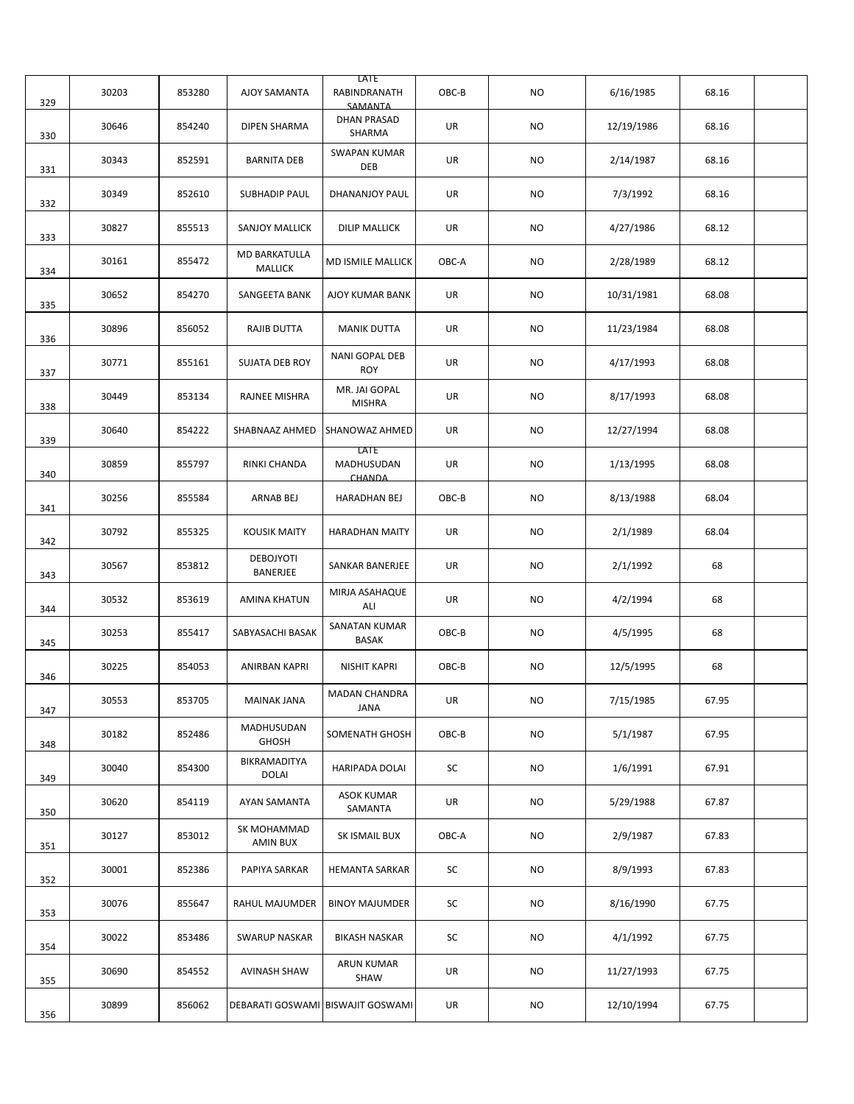| 329 | 30203 | 853280 | AJOY SAMANTA                    | LATE<br>RABINDRANATH<br>SAMANTA     | OBC-B | <b>NO</b> | 6/16/1985  | 68.16 |  |
|-----|-------|--------|---------------------------------|-------------------------------------|-------|-----------|------------|-------|--|
| 330 | 30646 | 854240 | <b>DIPEN SHARMA</b>             | <b>DHAN PRASAD</b><br>SHARMA        | UR    | <b>NO</b> | 12/19/1986 | 68.16 |  |
| 331 | 30343 | 852591 | <b>BARNITA DEB</b>              | <b>SWAPAN KUMAR</b><br>DEB          | UR    | <b>NO</b> | 2/14/1987  | 68.16 |  |
| 332 | 30349 | 852610 | SUBHADIP PAUL                   | DHANANJOY PAUL                      | UR    | <b>NO</b> | 7/3/1992   | 68.16 |  |
| 333 | 30827 | 855513 | <b>SANJOY MALLICK</b>           | <b>DILIP MALLICK</b>                | UR    | <b>NO</b> | 4/27/1986  | 68.12 |  |
| 334 | 30161 | 855472 | MD BARKATULLA<br><b>MALLICK</b> | MD ISMILE MALLICK                   | OBC-A | <b>NO</b> | 2/28/1989  | 68.12 |  |
| 335 | 30652 | 854270 | SANGEETA BANK                   | <b>AJOY KUMAR BANK</b>              | UR    | <b>NO</b> | 10/31/1981 | 68.08 |  |
| 336 | 30896 | 856052 | RAJIB DUTTA                     | <b>MANIK DUTTA</b>                  | UR    | <b>NO</b> | 11/23/1984 | 68.08 |  |
| 337 | 30771 | 855161 | <b>SUJATA DEB ROY</b>           | NANI GOPAL DEB<br><b>ROY</b>        | UR    | <b>NO</b> | 4/17/1993  | 68.08 |  |
| 338 | 30449 | 853134 | RAJNEE MISHRA                   | MR. JAI GOPAL<br><b>MISHRA</b>      | UR    | <b>NO</b> | 8/17/1993  | 68.08 |  |
| 339 | 30640 | 854222 | SHABNAAZ AHMED                  | SHANOWAZ AHMED                      | UR    | <b>NO</b> | 12/27/1994 | 68.08 |  |
| 340 | 30859 | 855797 | RINKI CHANDA                    | <b>LATE</b><br>MADHUSUDAN<br>CHANDA | UR    | <b>NO</b> | 1/13/1995  | 68.08 |  |
| 341 | 30256 | 855584 | ARNAB BEJ                       | HARADHAN BEJ                        | OBC-B | <b>NO</b> | 8/13/1988  | 68.04 |  |
| 342 | 30792 | 855325 | <b>KOUSIK MAITY</b>             | <b>HARADHAN MAITY</b>               | UR    | <b>NO</b> | 2/1/1989   | 68.04 |  |
| 343 | 30567 | 853812 | <b>DEBOJYOTI</b><br>BANERJEE    | SANKAR BANERJEE                     | UR    | <b>NO</b> | 2/1/1992   | 68    |  |
| 344 | 30532 | 853619 | AMINA KHATUN                    | MIRJA ASAHAQUE<br>ALI               | UR    | <b>NO</b> | 4/2/1994   | 68    |  |
| 345 | 30253 | 855417 | SABYASACHI BASAK                | SANATAN KUMAR<br><b>BASAK</b>       | OBC-B | <b>NO</b> | 4/5/1995   | 68    |  |
| 346 | 30225 | 854053 | ANIRBAN KAPRI                   | <b>NISHIT KAPRI</b>                 | OBC-B | NO.       | 12/5/1995  | 68    |  |
| 347 | 30553 | 853705 | MAINAK JANA                     | <b>MADAN CHANDRA</b><br>JANA        | UR    | <b>NO</b> | 7/15/1985  | 67.95 |  |
| 348 | 30182 | 852486 | MADHUSUDAN<br><b>GHOSH</b>      | SOMENATH GHOSH                      | OBC-B | <b>NO</b> | 5/1/1987   | 67.95 |  |
| 349 | 30040 | 854300 | BIKRAMADITYA<br><b>DOLAI</b>    | HARIPADA DOLAI                      | SC    | <b>NO</b> | 1/6/1991   | 67.91 |  |
| 350 | 30620 | 854119 | AYAN SAMANTA                    | <b>ASOK KUMAR</b><br>SAMANTA        | UR    | <b>NO</b> | 5/29/1988  | 67.87 |  |
| 351 | 30127 | 853012 | SK MOHAMMAD<br>AMIN BUX         | SK ISMAIL BUX                       | OBC-A | NO        | 2/9/1987   | 67.83 |  |
| 352 | 30001 | 852386 | PAPIYA SARKAR                   | HEMANTA SARKAR                      | SC    | NO        | 8/9/1993   | 67.83 |  |
| 353 | 30076 | 855647 | RAHUL MAJUMDER                  | <b>BINOY MAJUMDER</b>               | SC    | NO        | 8/16/1990  | 67.75 |  |
| 354 | 30022 | 853486 | <b>SWARUP NASKAR</b>            | <b>BIKASH NASKAR</b>                | SC    | NO        | 4/1/1992   | 67.75 |  |
| 355 | 30690 | 854552 | AVINASH SHAW                    | ARUN KUMAR<br>SHAW                  | UR    | NO        | 11/27/1993 | 67.75 |  |
| 356 | 30899 | 856062 |                                 | DEBARATI GOSWAMI BISWAJIT GOSWAMI   | UR    | NO        | 12/10/1994 | 67.75 |  |
|     |       |        |                                 |                                     |       |           |            |       |  |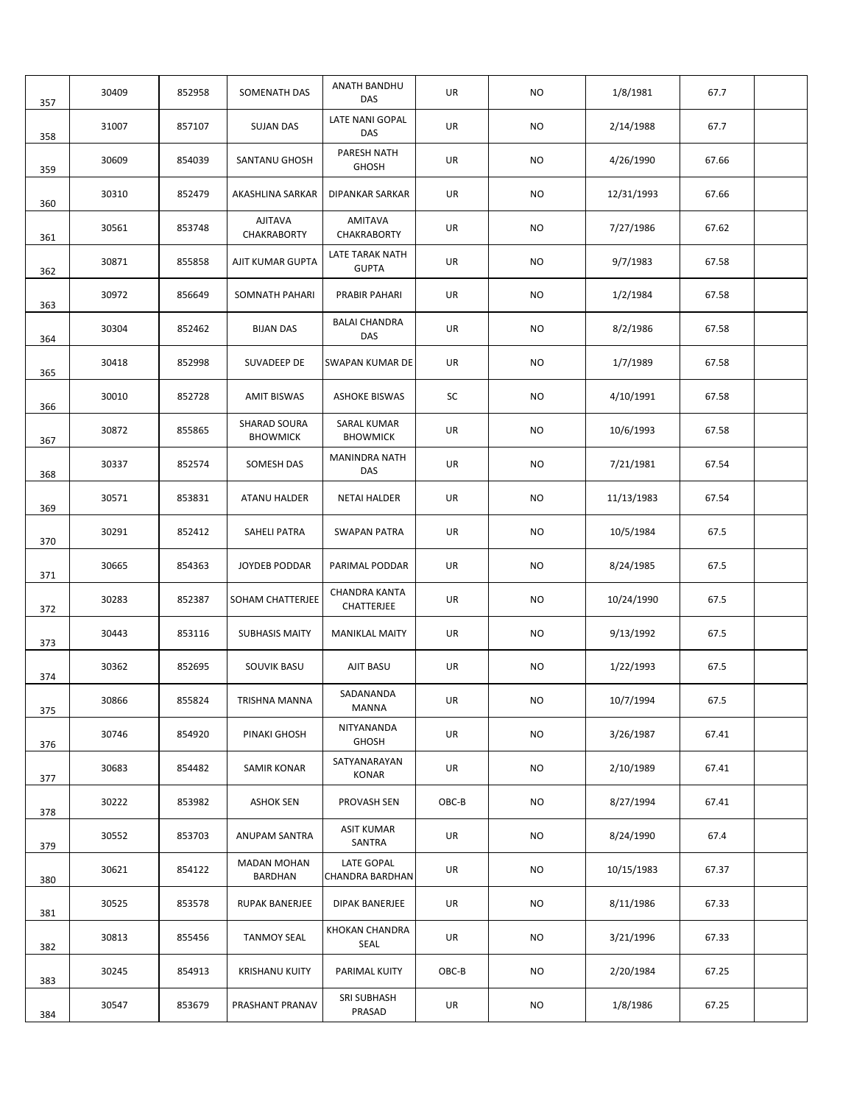| 30409 | 852958 | SOMENATH DAS                           | ANATH BANDHU<br><b>DAS</b>           | UR      | <b>NO</b> | 1/8/1981   | 67.7  |  |
|-------|--------|----------------------------------------|--------------------------------------|---------|-----------|------------|-------|--|
| 31007 | 857107 | <b>SUJAN DAS</b>                       | LATE NANI GOPAL<br>DAS               | UR      | <b>NO</b> | 2/14/1988  | 67.7  |  |
| 30609 | 854039 | SANTANU GHOSH                          | PARESH NATH<br><b>GHOSH</b>          | UR      | <b>NO</b> | 4/26/1990  | 67.66 |  |
| 30310 | 852479 | AKASHLINA SARKAR                       | DIPANKAR SARKAR                      | UR      | NO.       | 12/31/1993 | 67.66 |  |
| 30561 | 853748 | AJITAVA<br>CHAKRABORTY                 | AMITAVA<br>CHAKRABORTY               | UR      | <b>NO</b> | 7/27/1986  | 67.62 |  |
| 30871 | 855858 | AJIT KUMAR GUPTA                       | LATE TARAK NATH<br><b>GUPTA</b>      | UR      | <b>NO</b> | 9/7/1983   | 67.58 |  |
| 30972 | 856649 | SOMNATH PAHARI                         | <b>PRABIR PAHARI</b>                 | UR      | <b>NO</b> | 1/2/1984   | 67.58 |  |
| 30304 | 852462 | <b>BIJAN DAS</b>                       | <b>BALAI CHANDRA</b><br>DAS          | UR      | NO.       | 8/2/1986   | 67.58 |  |
| 30418 | 852998 | SUVADEEP DE                            | SWAPAN KUMAR DE                      | UR      | NO.       | 1/7/1989   | 67.58 |  |
| 30010 | 852728 | <b>AMIT BISWAS</b>                     | <b>ASHOKE BISWAS</b>                 | SC      | NO.       | 4/10/1991  | 67.58 |  |
| 30872 | 855865 | <b>SHARAD SOURA</b><br><b>BHOWMICK</b> | SARAL KUMAR<br><b>BHOWMICK</b>       | UR      | <b>NO</b> | 10/6/1993  | 67.58 |  |
| 30337 | 852574 | SOMESH DAS                             | MANINDRA NATH<br>DAS                 | UR      | NO.       | 7/21/1981  | 67.54 |  |
| 30571 | 853831 | ATANU HALDER                           | <b>NETAI HALDER</b>                  | UR      | <b>NO</b> | 11/13/1983 | 67.54 |  |
| 30291 | 852412 | SAHELI PATRA                           | <b>SWAPAN PATRA</b>                  | UR      | NO.       | 10/5/1984  | 67.5  |  |
| 30665 | 854363 | <b>JOYDEB PODDAR</b>                   | PARIMAL PODDAR                       | UR      | <b>NO</b> | 8/24/1985  | 67.5  |  |
| 30283 | 852387 | SOHAM CHATTERJEE                       | CHANDRA KANTA<br>CHATTERJEE          | UR      | <b>NO</b> | 10/24/1990 | 67.5  |  |
| 30443 | 853116 | <b>SUBHASIS MAITY</b>                  | <b>MANIKLAL MAITY</b>                | UR      | NO.       | 9/13/1992  | 67.5  |  |
| 30362 | 852695 | SOUVIK BASU                            | AJIT BASU                            | UR      | NO.       | 1/22/1993  | 67.5  |  |
| 30866 | 855824 | TRISHNA MANNA                          | SADANANDA<br>MANNA                   | UR      | <b>NO</b> | 10/7/1994  | 67.5  |  |
| 30746 | 854920 | PINAKI GHOSH                           | NITYANANDA<br><b>GHOSH</b>           | UR      | NO        | 3/26/1987  | 67.41 |  |
| 30683 | 854482 | <b>SAMIR KONAR</b>                     | SATYANARAYAN<br><b>KONAR</b>         | UR      | <b>NO</b> | 2/10/1989  | 67.41 |  |
| 30222 | 853982 | <b>ASHOK SEN</b>                       | PROVASH SEN                          | $OBC-B$ | <b>NO</b> | 8/27/1994  | 67.41 |  |
| 30552 | 853703 | ANUPAM SANTRA                          | <b>ASIT KUMAR</b><br>SANTRA          | UR      | NO        | 8/24/1990  | 67.4  |  |
| 30621 | 854122 | <b>MADAN MOHAN</b><br>BARDHAN          | LATE GOPAL<br><b>CHANDRA BARDHAN</b> | UR      | NO        | 10/15/1983 | 67.37 |  |
| 30525 | 853578 | RUPAK BANERJEE                         | DIPAK BANERJEE                       | UR      | NO        | 8/11/1986  | 67.33 |  |
| 30813 | 855456 | <b>TANMOY SEAL</b>                     | KHOKAN CHANDRA<br>SEAL               | UR      | NO        | 3/21/1996  | 67.33 |  |
| 30245 | 854913 | <b>KRISHANU KUITY</b>                  | PARIMAL KUITY                        | OBC-B   | NO        | 2/20/1984  | 67.25 |  |
| 30547 | 853679 | PRASHANT PRANAV                        | SRI SUBHASH<br>PRASAD                | UR      | NO        | 1/8/1986   | 67.25 |  |
|       |        |                                        |                                      |         |           |            |       |  |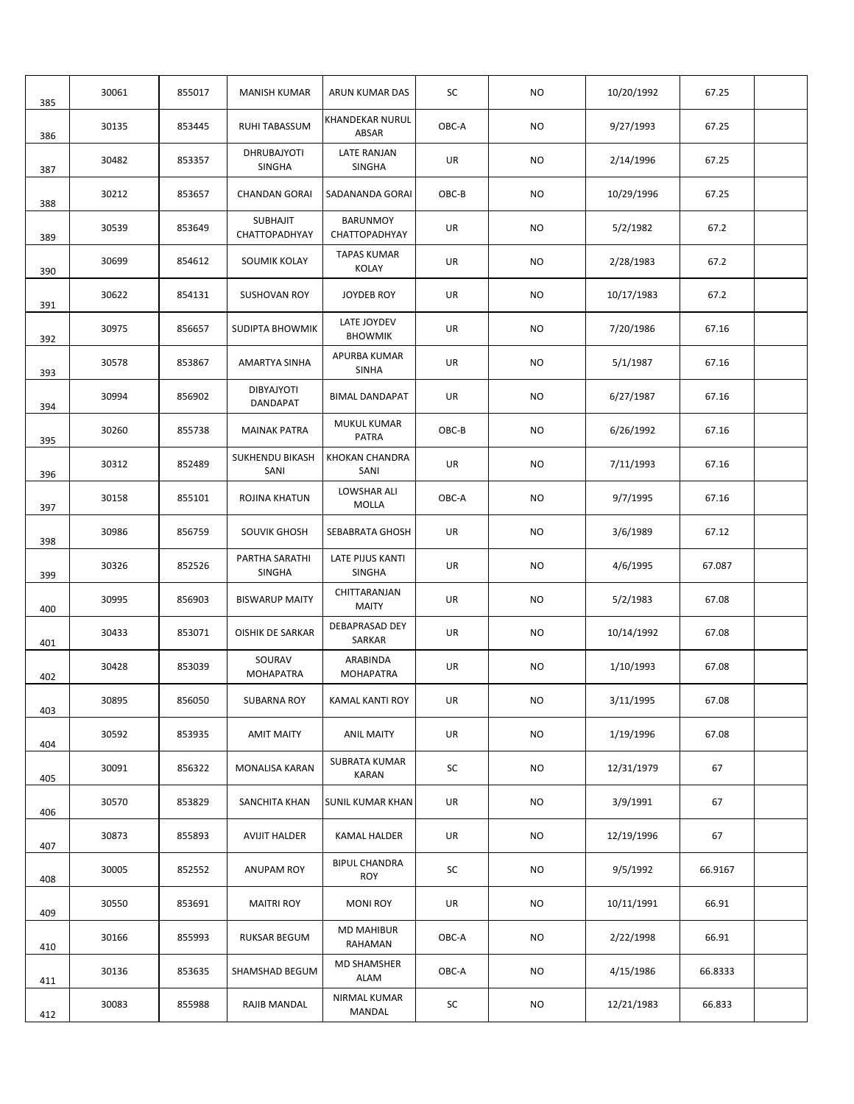| 385 | 30061 | 855017 | <b>MANISH KUMAR</b>                 | ARUN KUMAR DAS                       | SC    | NO.       | 10/20/1992 | 67.25   |  |
|-----|-------|--------|-------------------------------------|--------------------------------------|-------|-----------|------------|---------|--|
| 386 | 30135 | 853445 | <b>RUHI TABASSUM</b>                | KHANDEKAR NURUL<br>ABSAR             | OBC-A | NO.       | 9/27/1993  | 67.25   |  |
| 387 | 30482 | 853357 | <b>DHRUBAJYOTI</b><br><b>SINGHA</b> | LATE RANJAN<br>SINGHA                | UR    | NO.       | 2/14/1996  | 67.25   |  |
| 388 | 30212 | 853657 | <b>CHANDAN GORAI</b>                | SADANANDA GORAI                      | OBC-B | NO.       | 10/29/1996 | 67.25   |  |
| 389 | 30539 | 853649 | <b>SUBHAJIT</b><br>CHATTOPADHYAY    | <b>BARUNMOY</b><br>CHATTOPADHYAY     | UR    | NO        | 5/2/1982   | 67.2    |  |
| 390 | 30699 | 854612 | SOUMIK KOLAY                        | <b>TAPAS KUMAR</b><br><b>KOLAY</b>   | UR    | NO        | 2/28/1983  | 67.2    |  |
| 391 | 30622 | 854131 | <b>SUSHOVAN ROY</b>                 | JOYDEB ROY                           | UR    | NO        | 10/17/1983 | 67.2    |  |
| 392 | 30975 | 856657 | <b>SUDIPTA BHOWMIK</b>              | LATE JOYDEV<br><b>BHOWMIK</b>        | UR    | NO        | 7/20/1986  | 67.16   |  |
| 393 | 30578 | 853867 | AMARTYA SINHA                       | APURBA KUMAR<br><b>SINHA</b>         | UR    | NO.       | 5/1/1987   | 67.16   |  |
| 394 | 30994 | 856902 | DIBYAJYOTI<br>DANDAPAT              | <b>BIMAL DANDAPAT</b>                | UR    | NO.       | 6/27/1987  | 67.16   |  |
| 395 | 30260 | 855738 | <b>MAINAK PATRA</b>                 | MUKUL KUMAR<br><b>PATRA</b>          | OBC-B | NO.       | 6/26/1992  | 67.16   |  |
| 396 | 30312 | 852489 | <b>SUKHENDU BIKASH</b><br>SANI      | KHOKAN CHANDRA<br>SANI               | UR    | NO.       | 7/11/1993  | 67.16   |  |
| 397 | 30158 | 855101 | ROJINA KHATUN                       | LOWSHAR ALI<br>MOLLA                 | OBC-A | NO.       | 9/7/1995   | 67.16   |  |
| 398 | 30986 | 856759 | SOUVIK GHOSH                        | SEBABRATA GHOSH                      | UR    | NO.       | 3/6/1989   | 67.12   |  |
| 399 | 30326 | 852526 | PARTHA SARATHI<br><b>SINGHA</b>     | LATE PIJUS KANTI<br><b>SINGHA</b>    | UR    | NO.       | 4/6/1995   | 67.087  |  |
| 400 | 30995 | 856903 | <b>BISWARUP MAITY</b>               | CHITTARANJAN<br><b>MAITY</b>         | UR    | NO.       | 5/2/1983   | 67.08   |  |
| 401 | 30433 | 853071 | <b>OISHIK DE SARKAR</b>             | DEBAPRASAD DEY<br>SARKAR             | UR    | NO.       | 10/14/1992 | 67.08   |  |
| 402 | 30428 | 853039 | SOURAV<br><b>MOHAPATRA</b>          | ARABINDA<br><b>MOHAPATRA</b>         | UR    | NO.       | 1/10/1993  | 67.08   |  |
| 403 | 30895 | 856050 | SUBARNA ROY                         | <b>KAMAL KANTI ROY</b>               | UR    | <b>NO</b> | 3/11/1995  | 67.08   |  |
| 404 | 30592 | 853935 | <b>AMIT MAITY</b>                   | <b>ANIL MAITY</b>                    | UR    | NO.       | 1/19/1996  | 67.08   |  |
| 405 | 30091 | 856322 | MONALISA KARAN                      | <b>SUBRATA KUMAR</b><br><b>KARAN</b> | SC    | <b>NO</b> | 12/31/1979 | 67      |  |
| 406 | 30570 | 853829 | SANCHITA KHAN                       | <b>SUNIL KUMAR KHAN</b>              | UR    | <b>NO</b> | 3/9/1991   | 67      |  |
| 407 | 30873 | 855893 | <b>AVIJIT HALDER</b>                | <b>KAMAL HALDER</b>                  | UR    | NO        | 12/19/1996 | 67      |  |
| 408 | 30005 | 852552 | ANUPAM ROY                          | <b>BIPUL CHANDRA</b><br><b>ROY</b>   | SC    | NO.       | 9/5/1992   | 66.9167 |  |
| 409 | 30550 | 853691 | <b>MAITRI ROY</b>                   | <b>MONI ROY</b>                      | UR    | NO        | 10/11/1991 | 66.91   |  |
| 410 | 30166 | 855993 | RUKSAR BEGUM                        | <b>MD MAHIBUR</b><br>RAHAMAN         | OBC-A | NO.       | 2/22/1998  | 66.91   |  |
| 411 | 30136 | 853635 | SHAMSHAD BEGUM                      | <b>MD SHAMSHER</b><br>ALAM           | OBC-A | NO.       | 4/15/1986  | 66.8333 |  |
| 412 | 30083 | 855988 | RAJIB MANDAL                        | NIRMAL KUMAR<br>MANDAL               | SC    | NO.       | 12/21/1983 | 66.833  |  |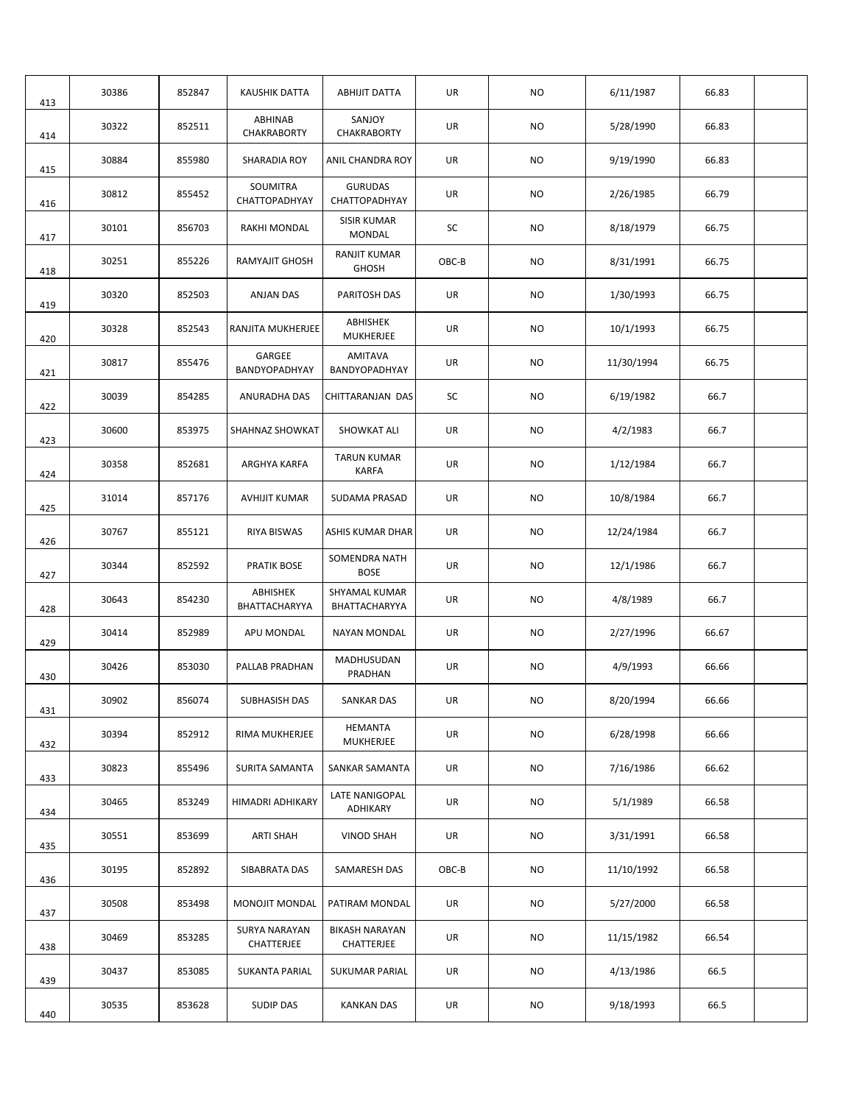| 413 | 30386 | 852847 | KAUSHIK DATTA               | <b>ABHIJIT DATTA</b>                | UR        | NO.       | 6/11/1987  | 66.83 |  |
|-----|-------|--------|-----------------------------|-------------------------------------|-----------|-----------|------------|-------|--|
| 414 | 30322 | 852511 | ABHINAB<br>CHAKRABORTY      | SANJOY<br>CHAKRABORTY               | UR        | NO.       | 5/28/1990  | 66.83 |  |
| 415 | 30884 | 855980 | SHARADIA ROY                | ANIL CHANDRA ROY                    | UR        | <b>NO</b> | 9/19/1990  | 66.83 |  |
| 416 | 30812 | 855452 | SOUMITRA<br>CHATTOPADHYAY   | <b>GURUDAS</b><br>CHATTOPADHYAY     | UR        | NO.       | 2/26/1985  | 66.79 |  |
| 417 | 30101 | 856703 | <b>RAKHI MONDAL</b>         | <b>SISIR KUMAR</b><br><b>MONDAL</b> | SC        | NO.       | 8/18/1979  | 66.75 |  |
| 418 | 30251 | 855226 | <b>RAMYAJIT GHOSH</b>       | <b>RANJIT KUMAR</b><br><b>GHOSH</b> | OBC-B     | NO.       | 8/31/1991  | 66.75 |  |
| 419 | 30320 | 852503 | <b>ANJAN DAS</b>            | PARITOSH DAS                        | UR        | NO.       | 1/30/1993  | 66.75 |  |
| 420 | 30328 | 852543 | RANJITA MUKHERJEE           | ABHISHEK<br><b>MUKHERJEE</b>        | UR        | NO.       | 10/1/1993  | 66.75 |  |
| 421 | 30817 | 855476 | GARGEE<br>BANDYOPADHYAY     | AMITAVA<br>BANDYOPADHYAY            | UR        | <b>NO</b> | 11/30/1994 | 66.75 |  |
| 422 | 30039 | 854285 | ANURADHA DAS                | CHITTARANJAN DAS                    | SC        | NO.       | 6/19/1982  | 66.7  |  |
| 423 | 30600 | 853975 | SHAHNAZ SHOWKAT             | <b>SHOWKAT ALI</b>                  | UR        | <b>NO</b> | 4/2/1983   | 66.7  |  |
| 424 | 30358 | 852681 | ARGHYA KARFA                | <b>TARUN KUMAR</b><br><b>KARFA</b>  | UR        | NO.       | 1/12/1984  | 66.7  |  |
| 425 | 31014 | 857176 | AVHIJIT KUMAR               | SUDAMA PRASAD                       | UR        | <b>NO</b> | 10/8/1984  | 66.7  |  |
| 426 | 30767 | 855121 | <b>RIYA BISWAS</b>          | ASHIS KUMAR DHAR                    | UR        | <b>NO</b> | 12/24/1984 | 66.7  |  |
| 427 | 30344 | 852592 | <b>PRATIK BOSE</b>          | SOMENDRA NATH<br><b>BOSE</b>        | <b>UR</b> | NO.       | 12/1/1986  | 66.7  |  |
| 428 | 30643 | 854230 | ABHISHEK<br>BHATTACHARYYA   | SHYAMAL KUMAR<br>BHATTACHARYYA      | UR        | NO.       | 4/8/1989   | 66.7  |  |
| 429 | 30414 | 852989 | APU MONDAL                  | NAYAN MONDAL                        | UR        | NO.       | 2/27/1996  | 66.67 |  |
| 430 | 30426 | 853030 | PALLAB PRADHAN              | MADHUSUDAN<br>PRADHAN               | UR        | NO.       | 4/9/1993   | 66.66 |  |
| 431 | 30902 | 856074 | SUBHASISH DAS               | SANKAR DAS                          | UR        | <b>NO</b> | 8/20/1994  | 66.66 |  |
| 432 | 30394 | 852912 | RIMA MUKHERJEE              | <b>HEMANTA</b><br><b>MUKHERJEE</b>  | UR        | <b>NO</b> | 6/28/1998  | 66.66 |  |
| 433 | 30823 | 855496 | SURITA SAMANTA              | SANKAR SAMANTA                      | UR        | NO        | 7/16/1986  | 66.62 |  |
| 434 | 30465 | 853249 | HIMADRI ADHIKARY            | LATE NANIGOPAL<br>ADHIKARY          | UR        | NO.       | 5/1/1989   | 66.58 |  |
| 435 | 30551 | 853699 | ARTI SHAH                   | <b>VINOD SHAH</b>                   | UR        | NO.       | 3/31/1991  | 66.58 |  |
| 436 | 30195 | 852892 | SIBABRATA DAS               | SAMARESH DAS                        | OBC-B     | NO.       | 11/10/1992 | 66.58 |  |
| 437 | 30508 | 853498 | <b>MONOJIT MONDAL</b>       | PATIRAM MONDAL                      | UR        | NO.       | 5/27/2000  | 66.58 |  |
| 438 | 30469 | 853285 | SURYA NARAYAN<br>CHATTERJEE | <b>BIKASH NARAYAN</b><br>CHATTERJEE | UR        | NO.       | 11/15/1982 | 66.54 |  |
| 439 | 30437 | 853085 | SUKANTA PARIAL              | SUKUMAR PARIAL                      | UR        | NO.       | 4/13/1986  | 66.5  |  |
| 440 | 30535 | 853628 | <b>SUDIP DAS</b>            | <b>KANKAN DAS</b>                   | UR        | NO        | 9/18/1993  | 66.5  |  |
|     |       |        |                             |                                     |           |           |            |       |  |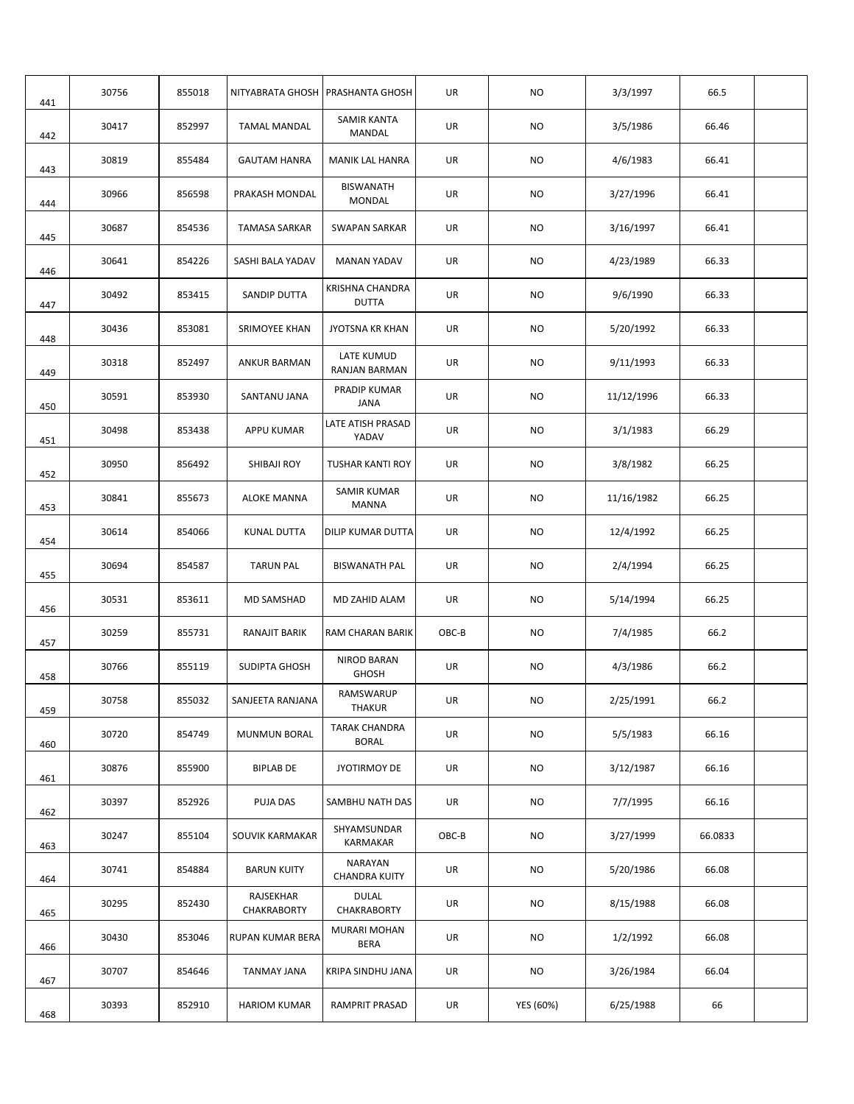| 441 | 30756 | 855018 | NITYABRATA GHOSH   PRASHANTA GHOSH |                                        | UR    | NO.       | 3/3/1997   | 66.5    |  |
|-----|-------|--------|------------------------------------|----------------------------------------|-------|-----------|------------|---------|--|
| 442 | 30417 | 852997 | <b>TAMAL MANDAL</b>                | <b>SAMIR KANTA</b><br>MANDAL           | UR    | NO.       | 3/5/1986   | 66.46   |  |
| 443 | 30819 | 855484 | <b>GAUTAM HANRA</b>                | MANIK LAL HANRA                        | UR    | NO        | 4/6/1983   | 66.41   |  |
| 444 | 30966 | 856598 | PRAKASH MONDAL                     | <b>BISWANATH</b><br><b>MONDAL</b>      | UR    | NO.       | 3/27/1996  | 66.41   |  |
| 445 | 30687 | 854536 | TAMASA SARKAR                      | SWAPAN SARKAR                          | UR    | NO.       | 3/16/1997  | 66.41   |  |
| 446 | 30641 | 854226 | SASHI BALA YADAV                   | <b>MANAN YADAV</b>                     | UR    | NO.       | 4/23/1989  | 66.33   |  |
| 447 | 30492 | 853415 | SANDIP DUTTA                       | <b>KRISHNA CHANDRA</b><br><b>DUTTA</b> | UR    | NO.       | 9/6/1990   | 66.33   |  |
| 448 | 30436 | 853081 | SRIMOYEE KHAN                      | <b>JYOTSNA KR KHAN</b>                 | UR    | NO.       | 5/20/1992  | 66.33   |  |
| 449 | 30318 | 852497 | ANKUR BARMAN                       | LATE KUMUD<br>RANJAN BARMAN            | UR    | NO.       | 9/11/1993  | 66.33   |  |
| 450 | 30591 | 853930 | SANTANU JANA                       | PRADIP KUMAR<br>JANA                   | UR    | <b>NO</b> | 11/12/1996 | 66.33   |  |
| 451 | 30498 | 853438 | APPU KUMAR                         | LATE ATISH PRASAD<br>YADAV             | UR    | NO.       | 3/1/1983   | 66.29   |  |
| 452 | 30950 | 856492 | SHIBAJI ROY                        | <b>TUSHAR KANTI ROY</b>                | UR    | NO        | 3/8/1982   | 66.25   |  |
| 453 | 30841 | 855673 | <b>ALOKE MANNA</b>                 | SAMIR KUMAR<br><b>MANNA</b>            | UR    | NO        | 11/16/1982 | 66.25   |  |
| 454 | 30614 | 854066 | KUNAL DUTTA                        | DILIP KUMAR DUTTA                      | UR    | NO        | 12/4/1992  | 66.25   |  |
| 455 | 30694 | 854587 | <b>TARUN PAL</b>                   | <b>BISWANATH PAL</b>                   | UR    | <b>NO</b> | 2/4/1994   | 66.25   |  |
| 456 | 30531 | 853611 | <b>MD SAMSHAD</b>                  | MD ZAHID ALAM                          | UR    | NO        | 5/14/1994  | 66.25   |  |
| 457 | 30259 | 855731 | RANAJIT BARIK                      | RAM CHARAN BARIK                       | OBC-B | NO.       | 7/4/1985   | 66.2    |  |
| 458 | 30766 | 855119 | SUDIPTA GHOSH                      | <b>NIROD BARAN</b><br><b>GHOSH</b>     | UR    | NO.       | 4/3/1986   | 66.2    |  |
| 459 | 30758 | 855032 | SANJEETA RANJANA                   | RAMSWARUP<br><b>THAKUR</b>             | UR    | <b>NO</b> | 2/25/1991  | 66.2    |  |
| 460 | 30720 | 854749 | <b>MUNMUN BORAL</b>                | <b>TARAK CHANDRA</b><br><b>BORAL</b>   | UR    | NO        | 5/5/1983   | 66.16   |  |
| 461 | 30876 | 855900 | <b>BIPLAB DE</b>                   | <b>JYOTIRMOY DE</b>                    | UR    | NO        | 3/12/1987  | 66.16   |  |
| 462 | 30397 | 852926 | PUJA DAS                           | SAMBHU NATH DAS                        | UR    | NO.       | 7/7/1995   | 66.16   |  |
| 463 | 30247 | 855104 | SOUVIK KARMAKAR                    | SHYAMSUNDAR<br>KARMAKAR                | OBC-B | NO.       | 3/27/1999  | 66.0833 |  |
| 464 | 30741 | 854884 | <b>BARUN KUITY</b>                 | NARAYAN<br><b>CHANDRA KUITY</b>        | UR    | NO        | 5/20/1986  | 66.08   |  |
| 465 | 30295 | 852430 | RAJSEKHAR<br>CHAKRABORTY           | <b>DULAL</b><br>CHAKRABORTY            | UR    | NO.       | 8/15/1988  | 66.08   |  |
| 466 | 30430 | 853046 | RUPAN KUMAR BERA                   | <b>MURARI MOHAN</b><br><b>BERA</b>     | UR    | NO.       | 1/2/1992   | 66.08   |  |
| 467 | 30707 | 854646 | TANMAY JANA                        | KRIPA SINDHU JANA                      | UR    | NO        | 3/26/1984  | 66.04   |  |
| 468 | 30393 | 852910 | <b>HARIOM KUMAR</b>                | RAMPRIT PRASAD                         | UR    | YES (60%) | 6/25/1988  | 66      |  |
|     |       |        |                                    |                                        |       |           |            |         |  |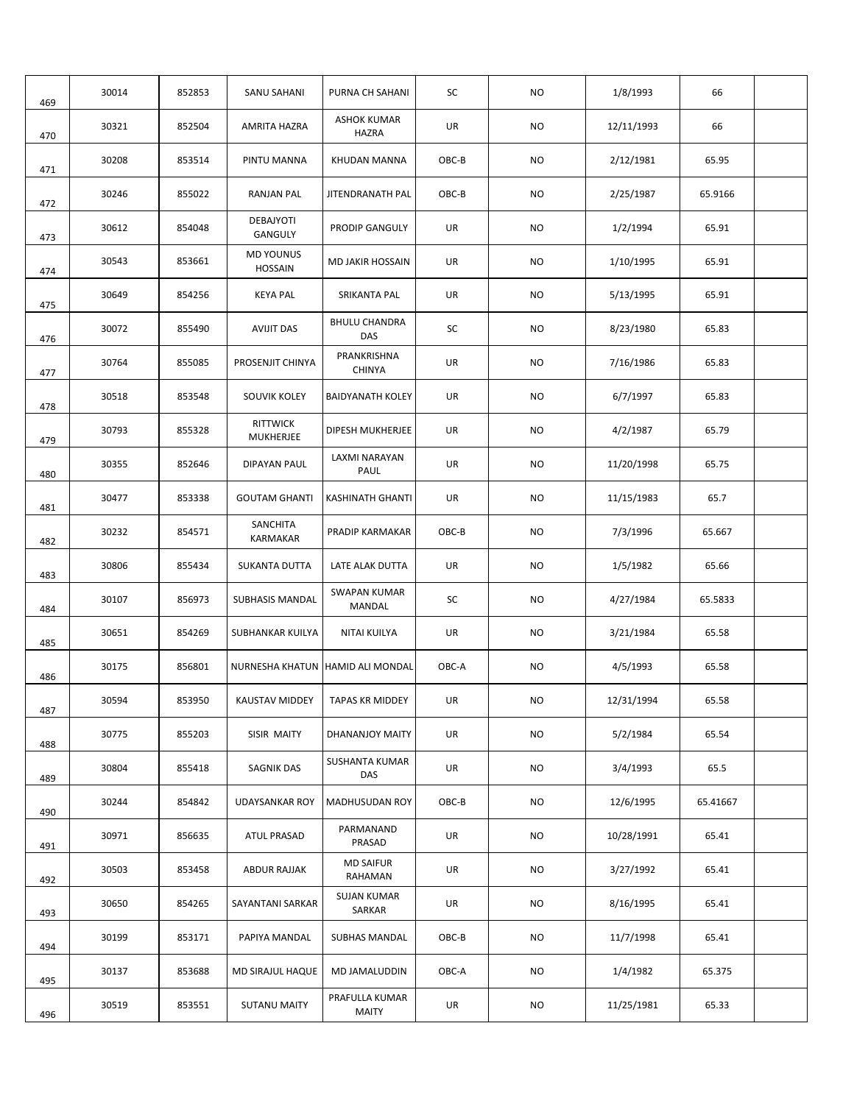| 469 | 30014 | 852853 | SANU SAHANI                        | PURNA CH SAHANI                    | SC    | NO.       | 1/8/1993   | 66       |  |
|-----|-------|--------|------------------------------------|------------------------------------|-------|-----------|------------|----------|--|
| 470 | 30321 | 852504 | AMRITA HAZRA                       | <b>ASHOK KUMAR</b><br><b>HAZRA</b> | UR    | NO.       | 12/11/1993 | 66       |  |
| 471 | 30208 | 853514 | PINTU MANNA                        | KHUDAN MANNA                       | OBC-B | NO.       | 2/12/1981  | 65.95    |  |
| 472 | 30246 | 855022 | <b>RANJAN PAL</b>                  | JITENDRANATH PAL                   | OBC-B | NO.       | 2/25/1987  | 65.9166  |  |
| 473 | 30612 | 854048 | <b>DEBAJYOTI</b><br>GANGULY        | <b>PRODIP GANGULY</b>              | UR    | <b>NO</b> | 1/2/1994   | 65.91    |  |
| 474 | 30543 | 853661 | <b>MD YOUNUS</b><br><b>HOSSAIN</b> | MD JAKIR HOSSAIN                   | UR    | NO.       | 1/10/1995  | 65.91    |  |
| 475 | 30649 | 854256 | <b>KEYA PAL</b>                    | SRIKANTA PAL                       | UR    | NO.       | 5/13/1995  | 65.91    |  |
| 476 | 30072 | 855490 | <b>AVIJIT DAS</b>                  | <b>BHULU CHANDRA</b><br><b>DAS</b> | SC    | NO.       | 8/23/1980  | 65.83    |  |
| 477 | 30764 | 855085 | PROSENJIT CHINYA                   | PRANKRISHNA<br><b>CHINYA</b>       | UR    | <b>NO</b> | 7/16/1986  | 65.83    |  |
| 478 | 30518 | 853548 | <b>SOUVIK KOLEY</b>                | <b>BAIDYANATH KOLEY</b>            | UR    | NO.       | 6/7/1997   | 65.83    |  |
| 479 | 30793 | 855328 | <b>RITTWICK</b><br>MUKHERJEE       | DIPESH MUKHERJEE                   | UR    | <b>NO</b> | 4/2/1987   | 65.79    |  |
| 480 | 30355 | 852646 | DIPAYAN PAUL                       | LAXMI NARAYAN<br>PAUL              | UR    | NO.       | 11/20/1998 | 65.75    |  |
| 481 | 30477 | 853338 | <b>GOUTAM GHANTI</b>               | KASHINATH GHANTI                   | UR    | NO.       | 11/15/1983 | 65.7     |  |
| 482 | 30232 | 854571 | SANCHITA<br><b>KARMAKAR</b>        | PRADIP KARMAKAR                    | OBC-B | NO        | 7/3/1996   | 65.667   |  |
| 483 | 30806 | 855434 | <b>SUKANTA DUTTA</b>               | LATE ALAK DUTTA                    | UR    | <b>NO</b> | 1/5/1982   | 65.66    |  |
| 484 | 30107 | 856973 | <b>SUBHASIS MANDAL</b>             | SWAPAN KUMAR<br>MANDAL             | SC    | NO.       | 4/27/1984  | 65.5833  |  |
| 485 | 30651 | 854269 | SUBHANKAR KUILYA                   | NITAI KUILYA                       | UR    | <b>NO</b> | 3/21/1984  | 65.58    |  |
| 486 | 30175 | 856801 |                                    | NURNESHA KHATUN HAMID ALI MONDAL   | OBC-A | <b>NO</b> | 4/5/1993   | 65.58    |  |
| 487 | 30594 | 853950 | KAUSTAV MIDDEY   TAPAS KR MIDDEY   |                                    | UR    | <b>NO</b> | 12/31/1994 | 65.58    |  |
| 488 | 30775 | 855203 | SISIR MAITY                        | DHANANJOY MAITY                    | UR    | NO        | 5/2/1984   | 65.54    |  |
| 489 | 30804 | 855418 | <b>SAGNIK DAS</b>                  | SUSHANTA KUMAR<br>DAS              | UR    | NO        | 3/4/1993   | 65.5     |  |
| 490 | 30244 | 854842 | <b>UDAYSANKAR ROY</b>              | MADHUSUDAN ROY                     | OBC-B | NO        | 12/6/1995  | 65.41667 |  |
| 491 | 30971 | 856635 | ATUL PRASAD                        | PARMANAND<br>PRASAD                | UR    | NO.       | 10/28/1991 | 65.41    |  |
| 492 | 30503 | 853458 | ABDUR RAJJAK                       | <b>MD SAIFUR</b><br>RAHAMAN        | UR    | <b>NO</b> | 3/27/1992  | 65.41    |  |
| 493 | 30650 | 854265 | SAYANTANI SARKAR                   | <b>SUJAN KUMAR</b><br>SARKAR       | UR    | NO        | 8/16/1995  | 65.41    |  |
| 494 | 30199 | 853171 | PAPIYA MANDAL                      | SUBHAS MANDAL                      | OBC-B | NO        | 11/7/1998  | 65.41    |  |
| 495 | 30137 | 853688 | MD SIRAJUL HAQUE                   | MD JAMALUDDIN                      | OBC-A | NO        | 1/4/1982   | 65.375   |  |
| 496 | 30519 | 853551 | <b>SUTANU MAITY</b>                | PRAFULLA KUMAR<br><b>MAITY</b>     | UR    | NO        | 11/25/1981 | 65.33    |  |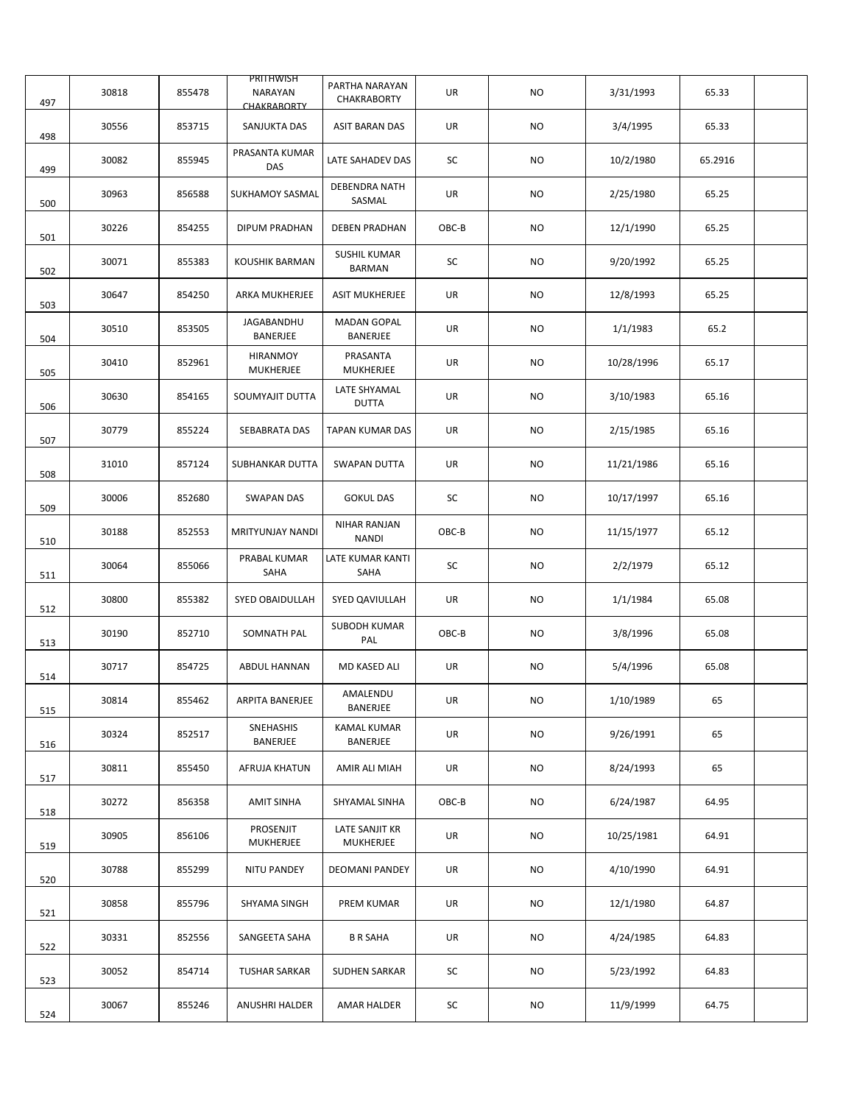| 497 | 30818 | 855478 | PRITHWISH<br><b>NARAYAN</b><br>CHAKRABORTY | PARTHA NARAYAN<br>CHAKRABORTY        | UR    | <b>NO</b> | 3/31/1993  | 65.33   |  |
|-----|-------|--------|--------------------------------------------|--------------------------------------|-------|-----------|------------|---------|--|
| 498 | 30556 | 853715 | SANJUKTA DAS                               | <b>ASIT BARAN DAS</b>                | UR    | NO.       | 3/4/1995   | 65.33   |  |
| 499 | 30082 | 855945 | PRASANTA KUMAR<br>DAS                      | LATE SAHADEV DAS                     | SC    | NO.       | 10/2/1980  | 65.2916 |  |
| 500 | 30963 | 856588 | <b>SUKHAMOY SASMAL</b>                     | <b>DEBENDRA NATH</b><br>SASMAL       | UR    | NO        | 2/25/1980  | 65.25   |  |
| 501 | 30226 | 854255 | <b>DIPUM PRADHAN</b>                       | <b>DEBEN PRADHAN</b>                 | OBC-B | NO.       | 12/1/1990  | 65.25   |  |
| 502 | 30071 | 855383 | KOUSHIK BARMAN                             | <b>SUSHIL KUMAR</b><br><b>BARMAN</b> | SC    | NO.       | 9/20/1992  | 65.25   |  |
| 503 | 30647 | 854250 | ARKA MUKHERJEE                             | <b>ASIT MUKHERJEE</b>                | UR    | NO.       | 12/8/1993  | 65.25   |  |
| 504 | 30510 | 853505 | JAGABANDHU<br>BANERJEE                     | MADAN GOPAL<br>BANERJEE              | UR    | NO.       | 1/1/1983   | 65.2    |  |
| 505 | 30410 | 852961 | HIRANMOY<br>MUKHERJEE                      | PRASANTA<br><b>MUKHERJEE</b>         | UR    | NO.       | 10/28/1996 | 65.17   |  |
| 506 | 30630 | 854165 | SOUMYAJIT DUTTA                            | LATE SHYAMAL<br><b>DUTTA</b>         | UR    | NO        | 3/10/1983  | 65.16   |  |
| 507 | 30779 | 855224 | SEBABRATA DAS                              | <b>TAPAN KUMAR DAS</b>               | UR    | NO        | 2/15/1985  | 65.16   |  |
| 508 | 31010 | 857124 | <b>SUBHANKAR DUTTA</b>                     | <b>SWAPAN DUTTA</b>                  | UR    | NO        | 11/21/1986 | 65.16   |  |
| 509 | 30006 | 852680 | <b>SWAPAN DAS</b>                          | <b>GOKUL DAS</b>                     | SC    | NO.       | 10/17/1997 | 65.16   |  |
| 510 | 30188 | 852553 | MRITYUNJAY NANDI                           | NIHAR RANJAN<br><b>NANDI</b>         | OBC-B | NO.       | 11/15/1977 | 65.12   |  |
| 511 | 30064 | 855066 | PRABAL KUMAR<br>SAHA                       | LATE KUMAR KANTI<br>SAHA             | SC    | NO.       | 2/2/1979   | 65.12   |  |
| 512 | 30800 | 855382 | SYED OBAIDULLAH                            | SYED QAVIULLAH                       | UR    | NO        | 1/1/1984   | 65.08   |  |
| 513 | 30190 | 852710 | SOMNATH PAL                                | <b>SUBODH KUMAR</b><br>PAL           | OBC-B | NO.       | 3/8/1996   | 65.08   |  |
| 514 | 30717 | 854725 | ABDUL HANNAN                               | MD KASED ALI                         | UR    | NO        | 5/4/1996   | 65.08   |  |
| 515 | 30814 | 855462 | ARPITA BANERJEE                            | AMALENDU<br>BANERJEE                 | UR    | NO        | 1/10/1989  | 65      |  |
| 516 | 30324 | 852517 | SNEHASHIS<br>BANERJEE                      | <b>KAMAL KUMAR</b><br>BANERJEE       | UR    | <b>NO</b> | 9/26/1991  | 65      |  |
| 517 | 30811 | 855450 | AFRUJA KHATUN                              | AMIR ALI MIAH                        | UR    | NO        | 8/24/1993  | 65      |  |
| 518 | 30272 | 856358 | <b>AMIT SINHA</b>                          | SHYAMAL SINHA                        | OBC-B | NO.       | 6/24/1987  | 64.95   |  |
| 519 | 30905 | 856106 | PROSENJIT<br>MUKHERJEE                     | LATE SANJIT KR<br>MUKHERJEE          | UR    | NO        | 10/25/1981 | 64.91   |  |
| 520 | 30788 | 855299 | <b>NITU PANDEY</b>                         | <b>DEOMANI PANDEY</b>                | UR    | NO        | 4/10/1990  | 64.91   |  |
| 521 | 30858 | 855796 | SHYAMA SINGH                               | PREM KUMAR                           | UR    | NO        | 12/1/1980  | 64.87   |  |
| 522 | 30331 | 852556 | SANGEETA SAHA                              | <b>B R SAHA</b>                      | UR    | NO.       | 4/24/1985  | 64.83   |  |
| 523 | 30052 | 854714 | <b>TUSHAR SARKAR</b>                       | <b>SUDHEN SARKAR</b>                 | SC    | NO.       | 5/23/1992  | 64.83   |  |
| 524 | 30067 | 855246 | ANUSHRI HALDER                             | AMAR HALDER                          | SC    | NO        | 11/9/1999  | 64.75   |  |
|     |       |        |                                            |                                      |       |           |            |         |  |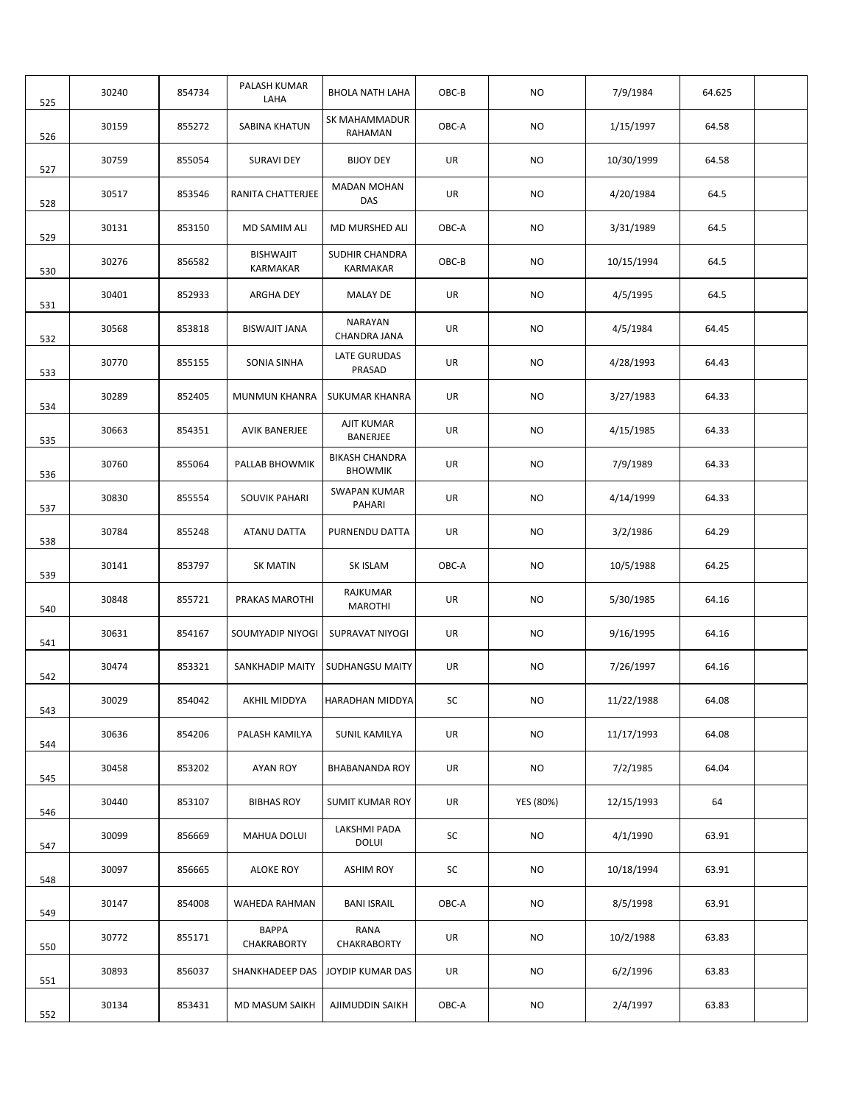| 30240 | 854734 | <b>PALASH KUMAR</b><br>LAHA         | <b>BHOLA NATH LAHA</b>                  | OBC-B | <b>NO</b> | 7/9/1984   | 64.625 |  |
|-------|--------|-------------------------------------|-----------------------------------------|-------|-----------|------------|--------|--|
| 30159 | 855272 | <b>SABINA KHATUN</b>                | SK MAHAMMADUR<br>RAHAMAN                | OBC-A | NO.       | 1/15/1997  | 64.58  |  |
| 30759 | 855054 | <b>SURAVI DEY</b>                   | <b>BIJOY DEY</b>                        | UR    | NO        | 10/30/1999 | 64.58  |  |
| 30517 | 853546 | RANITA CHATTERJEE                   | <b>MADAN MOHAN</b><br>DAS               | UR    | NO.       | 4/20/1984  | 64.5   |  |
| 30131 | 853150 | MD SAMIM ALI                        | MD MURSHED ALI                          | OBC-A | NO.       | 3/31/1989  | 64.5   |  |
| 30276 | 856582 | <b>BISHWAJIT</b><br><b>KARMAKAR</b> | SUDHIR CHANDRA<br>KARMAKAR              | OBC-B | NO.       | 10/15/1994 | 64.5   |  |
| 30401 | 852933 | ARGHA DEY                           | <b>MALAY DE</b>                         | UR    | NO.       | 4/5/1995   | 64.5   |  |
| 30568 | 853818 | BISWAJIT JANA                       | NARAYAN<br>CHANDRA JANA                 | UR    | NO        | 4/5/1984   | 64.45  |  |
| 30770 | 855155 | SONIA SINHA                         | LATE GURUDAS<br>PRASAD                  | UR    | NO        | 4/28/1993  | 64.43  |  |
| 30289 | 852405 | MUNMUN KHANRA                       | <b>SUKUMAR KHANRA</b>                   | UR    | <b>NO</b> | 3/27/1983  | 64.33  |  |
| 30663 | 854351 | AVIK BANERJEE                       | AJIT KUMAR<br>BANERJEE                  | UR    | NO        | 4/15/1985  | 64.33  |  |
| 30760 | 855064 | PALLAB BHOWMIK                      | <b>BIKASH CHANDRA</b><br><b>BHOWMIK</b> | UR    | NO        | 7/9/1989   | 64.33  |  |
| 30830 | 855554 | SOUVIK PAHARI                       | SWAPAN KUMAR<br>PAHARI                  | UR    | NO        | 4/14/1999  | 64.33  |  |
| 30784 | 855248 | ATANU DATTA                         | PURNENDU DATTA                          | UR    | NO.       | 3/2/1986   | 64.29  |  |
| 30141 | 853797 | <b>SK MATIN</b>                     | SK ISLAM                                | OBC-A | NO.       | 10/5/1988  | 64.25  |  |
| 30848 | 855721 | PRAKAS MAROTHI                      | RAJKUMAR<br><b>MAROTHI</b>              | UR    | NO        | 5/30/1985  | 64.16  |  |
| 30631 | 854167 | SOUMYADIP NIYOGI                    | SUPRAVAT NIYOGI                         | UR    | NO        | 9/16/1995  | 64.16  |  |
| 30474 | 853321 | SANKHADIP MAITY                     | <b>SUDHANGSU MAITY</b>                  | UR    | NO.       | 7/26/1997  | 64.16  |  |
| 30029 | 854042 | AKHIL MIDDYA                        | HARADHAN MIDDYA                         | SC    | NO.       | 11/22/1988 | 64.08  |  |
| 30636 | 854206 | PALASH KAMILYA                      | <b>SUNIL KAMILYA</b>                    | UR    | NO        | 11/17/1993 | 64.08  |  |
| 30458 | 853202 | <b>AYAN ROY</b>                     | <b>BHABANANDA ROY</b>                   | UR    | <b>NO</b> | 7/2/1985   | 64.04  |  |
| 30440 | 853107 | <b>BIBHAS ROY</b>                   | <b>SUMIT KUMAR ROY</b>                  | UR    | YES (80%) | 12/15/1993 | 64     |  |
| 30099 | 856669 | MAHUA DOLUI                         | LAKSHMI PADA<br><b>DOLUI</b>            | SC    | NO.       | 4/1/1990   | 63.91  |  |
| 30097 | 856665 | <b>ALOKE ROY</b>                    | <b>ASHIM ROY</b>                        | SC    | NO.       | 10/18/1994 | 63.91  |  |
| 30147 | 854008 | WAHEDA RAHMAN                       | <b>BANI ISRAIL</b>                      | OBC-A | NO.       | 8/5/1998   | 63.91  |  |
| 30772 | 855171 | <b>BAPPA</b><br>CHAKRABORTY         | RANA<br>CHAKRABORTY                     | UR    | NO.       | 10/2/1988  | 63.83  |  |
| 30893 | 856037 | SHANKHADEEP DAS                     | JOYDIP KUMAR DAS                        | UR    | NO        | 6/2/1996   | 63.83  |  |
| 30134 | 853431 | MD MASUM SAIKH                      | AJIMUDDIN SAIKH                         | OBC-A | NO        | 2/4/1997   | 63.83  |  |
|       |        |                                     |                                         |       |           |            |        |  |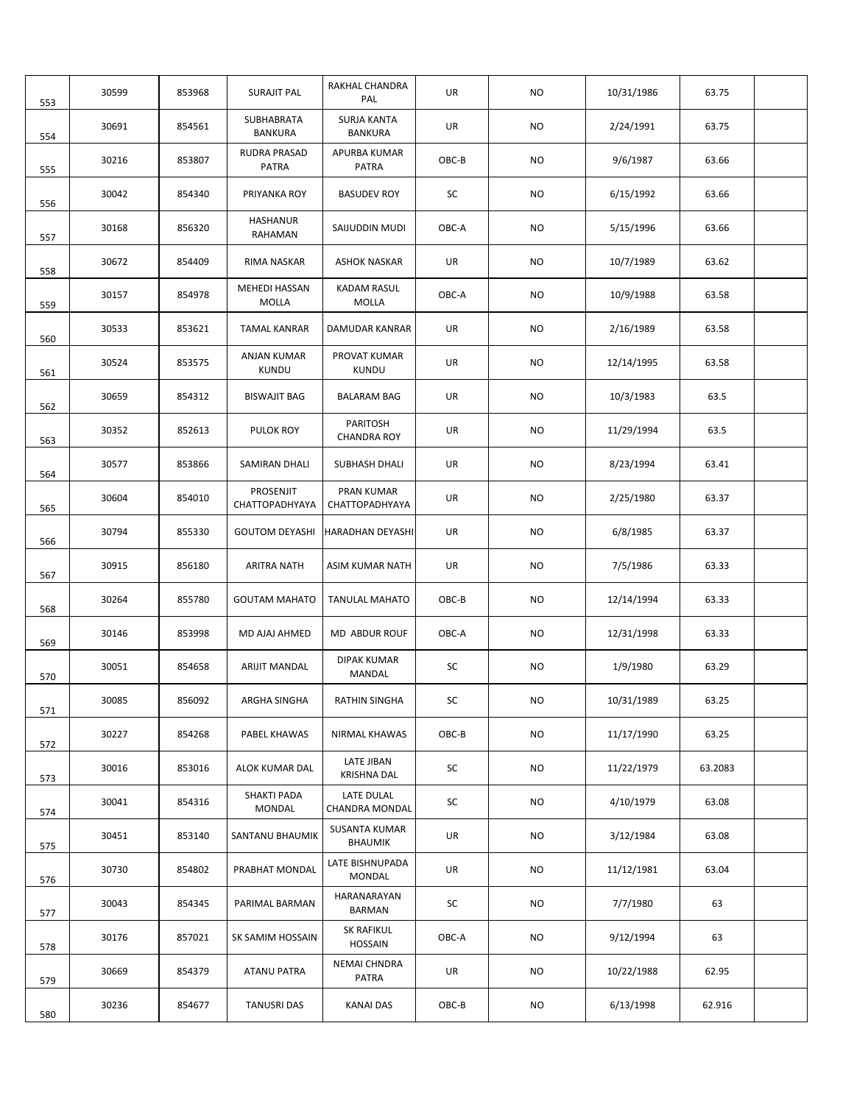| 553 | 30599 | 853968 | <b>SURAJIT PAL</b>           | RAKHAL CHANDRA<br>PAL                  | UR    | <b>NO</b> | 10/31/1986 | 63.75   |  |
|-----|-------|--------|------------------------------|----------------------------------------|-------|-----------|------------|---------|--|
| 554 | 30691 | 854561 | SUBHABRATA<br><b>BANKURA</b> | <b>SURJA KANTA</b><br><b>BANKURA</b>   | UR    | <b>NO</b> | 2/24/1991  | 63.75   |  |
| 555 | 30216 | 853807 | RUDRA PRASAD<br><b>PATRA</b> | APURBA KUMAR<br><b>PATRA</b>           | OBC-B | NO.       | 9/6/1987   | 63.66   |  |
| 556 | 30042 | 854340 | PRIYANKA ROY                 | <b>BASUDEV ROY</b>                     | SC    | NO.       | 6/15/1992  | 63.66   |  |
| 557 | 30168 | 856320 | HASHANUR<br>RAHAMAN          | SAIJUDDIN MUDI                         | OBC-A | NO.       | 5/15/1996  | 63.66   |  |
| 558 | 30672 | 854409 | RIMA NASKAR                  | <b>ASHOK NASKAR</b>                    | UR    | NO.       | 10/7/1989  | 63.62   |  |
| 559 | 30157 | 854978 | MEHEDI HASSAN<br>MOLLA       | KADAM RASUL<br>MOLLA                   | OBC-A | NO.       | 10/9/1988  | 63.58   |  |
| 560 | 30533 | 853621 | <b>TAMAL KANRAR</b>          | DAMUDAR KANRAR                         | UR    | NO.       | 2/16/1989  | 63.58   |  |
| 561 | 30524 | 853575 | ANJAN KUMAR<br>KUNDU         | PROVAT KUMAR<br><b>KUNDU</b>           | UR    | NO.       | 12/14/1995 | 63.58   |  |
| 562 | 30659 | 854312 | <b>BISWAJIT BAG</b>          | <b>BALARAM BAG</b>                     | UR    | NO.       | 10/3/1983  | 63.5    |  |
| 563 | 30352 | 852613 | PULOK ROY                    | PARITOSH<br><b>CHANDRA ROY</b>         | UR    | NO.       | 11/29/1994 | 63.5    |  |
| 564 | 30577 | 853866 | SAMIRAN DHALI                | SUBHASH DHALI                          | UR    | NO        | 8/23/1994  | 63.41   |  |
| 565 | 30604 | 854010 | PROSENJIT<br>CHATTOPADHYAYA  | PRAN KUMAR<br>CHATTOPADHYAYA           | UR    | NO        | 2/25/1980  | 63.37   |  |
| 566 | 30794 | 855330 | <b>GOUTOM DEYASHI</b>        | <b>HARADHAN DEYASHI</b>                | UR    | NO.       | 6/8/1985   | 63.37   |  |
| 567 | 30915 | 856180 | ARITRA NATH                  | ASIM KUMAR NATH                        | UR    | NO.       | 7/5/1986   | 63.33   |  |
| 568 | 30264 | 855780 | <b>GOUTAM MAHATO</b>         | <b>TANULAL MAHATO</b>                  | OBC-B | NO.       | 12/14/1994 | 63.33   |  |
| 569 | 30146 | 853998 | MD AJAJ AHMED                | MD ABDUR ROUF                          | OBC-A | NO.       | 12/31/1998 | 63.33   |  |
| 570 | 30051 | 854658 | <b>ARIJIT MANDAL</b>         | <b>DIPAK KUMAR</b><br>MANDAL           | SC    | NO.       | 1/9/1980   | 63.29   |  |
| 571 | 30085 | 856092 | ARGHA SINGHA                 | RATHIN SINGHA                          | SC    | <b>NO</b> | 10/31/1989 | 63.25   |  |
| 572 | 30227 | 854268 | PABEL KHAWAS                 | NIRMAL KHAWAS                          | OBC-B | <b>NO</b> | 11/17/1990 | 63.25   |  |
| 573 | 30016 | 853016 | ALOK KUMAR DAL               | LATE JIBAN<br><b>KRISHNA DAL</b>       | SC    | NO.       | 11/22/1979 | 63.2083 |  |
| 574 | 30041 | 854316 | SHAKTI PADA<br><b>MONDAL</b> | LATE DULAL<br>CHANDRA MONDAL           | SC    | <b>NO</b> | 4/10/1979  | 63.08   |  |
| 575 | 30451 | 853140 | SANTANU BHAUMIK              | <b>SUSANTA KUMAR</b><br><b>BHAUMIK</b> | UR    | <b>NO</b> | 3/12/1984  | 63.08   |  |
| 576 | 30730 | 854802 | PRABHAT MONDAL               | LATE BISHNUPADA<br>MONDAL              | UR    | NO        | 11/12/1981 | 63.04   |  |
| 577 | 30043 | 854345 | PARIMAL BARMAN               | HARANARAYAN<br><b>BARMAN</b>           | SC    | NO.       | 7/7/1980   | 63      |  |
| 578 | 30176 | 857021 | SK SAMIM HOSSAIN             | SK RAFIKUL<br><b>HOSSAIN</b>           | OBC-A | NO        | 9/12/1994  | 63      |  |
| 579 | 30669 | 854379 | ATANU PATRA                  | NEMAI CHNDRA<br>PATRA                  | UR    | NO        | 10/22/1988 | 62.95   |  |
| 580 | 30236 | 854677 | <b>TANUSRI DAS</b>           | <b>KANAI DAS</b>                       | OBC-B | NO.       | 6/13/1998  | 62.916  |  |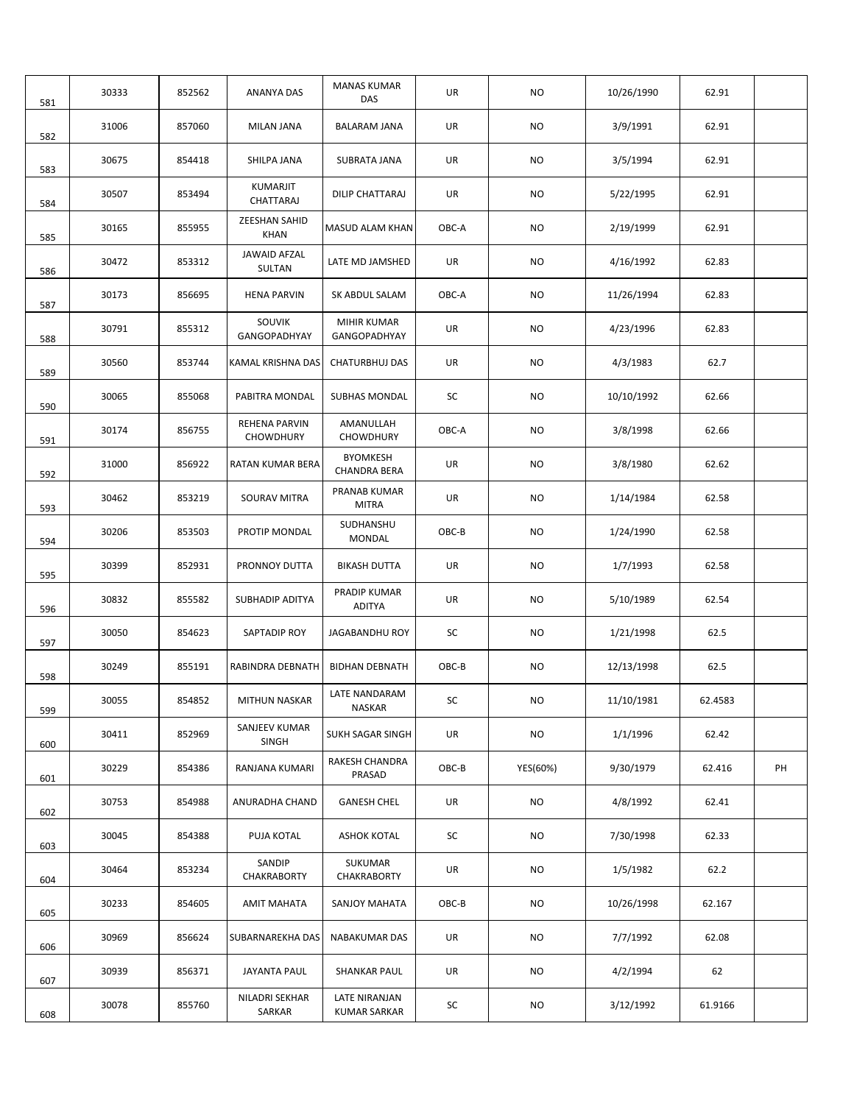| 581 | 30333 | 852562 | ANANYA DAS                        | <b>MANAS KUMAR</b><br>DAS            | UR    | NO.       | 10/26/1990 | 62.91   |    |
|-----|-------|--------|-----------------------------------|--------------------------------------|-------|-----------|------------|---------|----|
| 582 | 31006 | 857060 | <b>MILAN JANA</b>                 | <b>BALARAM JANA</b>                  | UR    | <b>NO</b> | 3/9/1991   | 62.91   |    |
| 583 | 30675 | 854418 | SHILPA JANA                       | SUBRATA JANA                         | UR    | <b>NO</b> | 3/5/1994   | 62.91   |    |
| 584 | 30507 | 853494 | KUMARJIT<br>CHATTARAJ             | DILIP CHATTARAJ                      | UR    | NO.       | 5/22/1995  | 62.91   |    |
| 585 | 30165 | 855955 | ZEESHAN SAHID<br><b>KHAN</b>      | MASUD ALAM KHAN                      | OBC-A | NO.       | 2/19/1999  | 62.91   |    |
| 586 | 30472 | 853312 | <b>JAWAID AFZAL</b><br>SULTAN     | LATE MD JAMSHED                      | UR    | NO.       | 4/16/1992  | 62.83   |    |
| 587 | 30173 | 856695 | <b>HENA PARVIN</b>                | SK ABDUL SALAM                       | OBC-A | NO.       | 11/26/1994 | 62.83   |    |
| 588 | 30791 | 855312 | <b>SOUVIK</b><br>GANGOPADHYAY     | MIHIR KUMAR<br>GANGOPADHYAY          | UR    | <b>NO</b> | 4/23/1996  | 62.83   |    |
| 589 | 30560 | 853744 | <b>KAMAL KRISHNA DAS</b>          | <b>CHATURBHUJ DAS</b>                | UR    | <b>NO</b> | 4/3/1983   | 62.7    |    |
| 590 | 30065 | 855068 | PABITRA MONDAL                    | <b>SUBHAS MONDAL</b>                 | SC    | NO.       | 10/10/1992 | 62.66   |    |
| 591 | 30174 | 856755 | REHENA PARVIN<br><b>CHOWDHURY</b> | AMANULLAH<br><b>CHOWDHURY</b>        | OBC-A | NO.       | 3/8/1998   | 62.66   |    |
| 592 | 31000 | 856922 | RATAN KUMAR BERA                  | <b>BYOMKESH</b><br>CHANDRA BERA      | UR    | <b>NO</b> | 3/8/1980   | 62.62   |    |
| 593 | 30462 | 853219 | SOURAV MITRA                      | PRANAB KUMAR<br><b>MITRA</b>         | UR    | NO.       | 1/14/1984  | 62.58   |    |
| 594 | 30206 | 853503 | PROTIP MONDAL                     | SUDHANSHU<br>MONDAL                  | OBC-B | NO        | 1/24/1990  | 62.58   |    |
| 595 | 30399 | 852931 | PRONNOY DUTTA                     | <b>BIKASH DUTTA</b>                  | UR    | NO.       | 1/7/1993   | 62.58   |    |
| 596 | 30832 | 855582 | <b>SUBHADIP ADITYA</b>            | PRADIP KUMAR<br><b>ADITYA</b>        | UR    | <b>NO</b> | 5/10/1989  | 62.54   |    |
| 597 | 30050 | 854623 | SAPTADIP ROY                      | JAGABANDHU ROY                       | SC    | NO.       | 1/21/1998  | 62.5    |    |
| 598 | 30249 | 855191 | RABINDRA DEBNATH                  | <b>BIDHAN DEBNATH</b>                | OBC-B | NO.       | 12/13/1998 | 62.5    |    |
| 599 | 30055 | 854852 | MITHUN NASKAR                     | LATE NANDARAM<br>NASKAR              | SC    | <b>NO</b> | 11/10/1981 | 62.4583 |    |
| 600 | 30411 | 852969 | SANJEEV KUMAR<br>SINGH            | SUKH SAGAR SINGH                     | UR    | <b>NO</b> | 1/1/1996   | 62.42   |    |
| 601 | 30229 | 854386 | RANJANA KUMARI                    | RAKESH CHANDRA<br>PRASAD             | OBC-B | YES(60%)  | 9/30/1979  | 62.416  | PH |
| 602 | 30753 | 854988 | ANURADHA CHAND                    | <b>GANESH CHEL</b>                   | UR    | NO        | 4/8/1992   | 62.41   |    |
| 603 | 30045 | 854388 | PUJA KOTAL                        | <b>ASHOK KOTAL</b>                   | SC    | NO.       | 7/30/1998  | 62.33   |    |
| 604 | 30464 | 853234 | SANDIP<br>CHAKRABORTY             | SUKUMAR<br>CHAKRABORTY               | UR    | NO        | 1/5/1982   | 62.2    |    |
| 605 | 30233 | 854605 | AMIT MAHATA                       | SANJOY MAHATA                        | OBC-B | NO        | 10/26/1998 | 62.167  |    |
| 606 | 30969 | 856624 | SUBARNAREKHA DAS                  | <b>NABAKUMAR DAS</b>                 | UR    | NO        | 7/7/1992   | 62.08   |    |
| 607 | 30939 | 856371 | JAYANTA PAUL                      | <b>SHANKAR PAUL</b>                  | UR    | NO        | 4/2/1994   | 62      |    |
| 608 | 30078 | 855760 | NILADRI SEKHAR<br>SARKAR          | LATE NIRANJAN<br><b>KUMAR SARKAR</b> | SC    | NO        | 3/12/1992  | 61.9166 |    |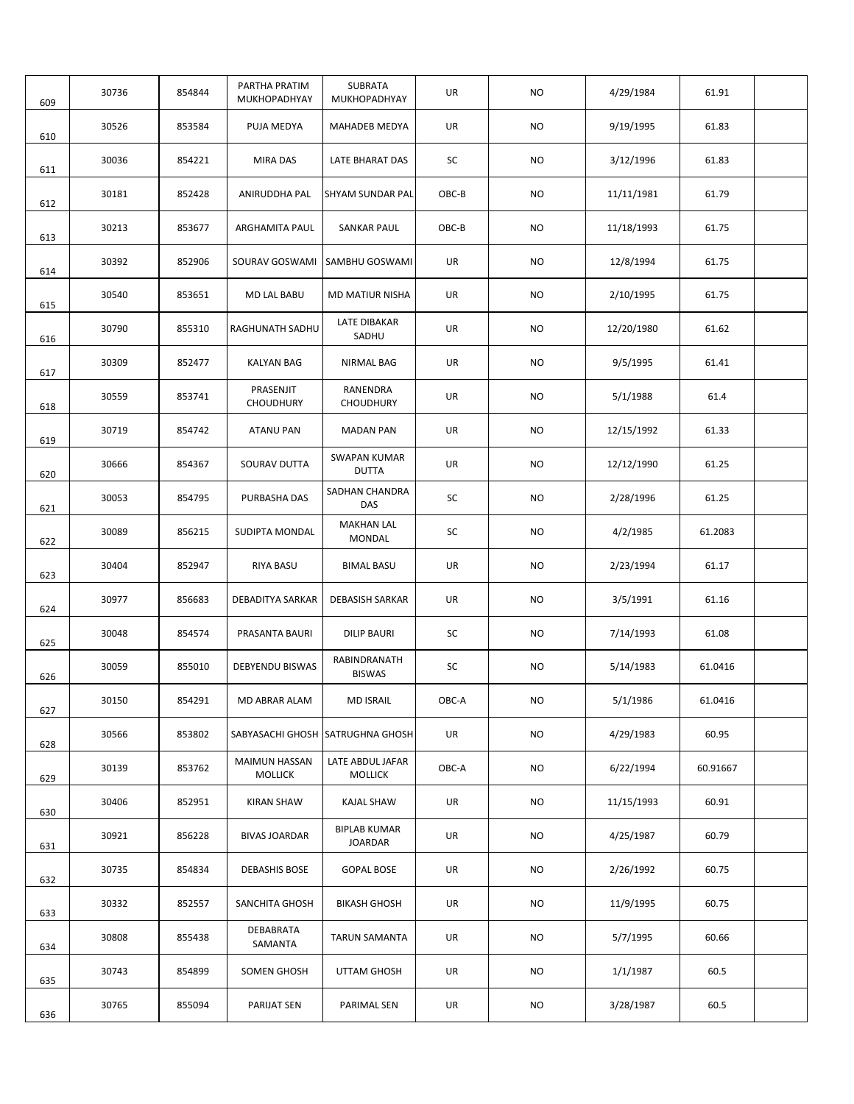|            | 30736 | 854844 | PARTHA PRATIM<br>MUKHOPADHYAY          | SUBRATA<br>MUKHOPADHYAY            | UR    | <b>NO</b> | 4/29/1984  | 61.91    |  |
|------------|-------|--------|----------------------------------------|------------------------------------|-------|-----------|------------|----------|--|
| 609        | 30526 | 853584 | PUJA MEDYA                             | MAHADEB MEDYA                      | UR    | <b>NO</b> | 9/19/1995  | 61.83    |  |
| 610        | 30036 | 854221 | MIRA DAS                               | LATE BHARAT DAS                    | SC    | <b>NO</b> | 3/12/1996  | 61.83    |  |
| 611        | 30181 | 852428 | ANIRUDDHA PAL                          | SHYAM SUNDAR PAL                   | OBC-B | NO.       | 11/11/1981 | 61.79    |  |
| 612        | 30213 | 853677 | ARGHAMITA PAUL                         | <b>SANKAR PAUL</b>                 | OBC-B | <b>NO</b> | 11/18/1993 | 61.75    |  |
| 613        | 30392 | 852906 | SOURAV GOSWAMI                         | SAMBHU GOSWAMI                     | UR    | <b>NO</b> | 12/8/1994  | 61.75    |  |
| 614        | 30540 | 853651 | MD LAL BABU                            | <b>MD MATIUR NISHA</b>             | UR    | <b>NO</b> | 2/10/1995  | 61.75    |  |
| 615<br>616 | 30790 | 855310 | RAGHUNATH SADHU                        | LATE DIBAKAR<br>SADHU              | UR    | <b>NO</b> | 12/20/1980 | 61.62    |  |
| 617        | 30309 | 852477 | <b>KALYAN BAG</b>                      | <b>NIRMAL BAG</b>                  | UR    | <b>NO</b> | 9/5/1995   | 61.41    |  |
| 618        | 30559 | 853741 | PRASENJIT<br><b>CHOUDHURY</b>          | RANENDRA<br><b>CHOUDHURY</b>       | UR    | <b>NO</b> | 5/1/1988   | 61.4     |  |
| 619        | 30719 | 854742 | <b>ATANU PAN</b>                       | <b>MADAN PAN</b>                   | UR    | <b>NO</b> | 12/15/1992 | 61.33    |  |
| 620        | 30666 | 854367 | SOURAV DUTTA                           | SWAPAN KUMAR<br><b>DUTTA</b>       | UR    | <b>NO</b> | 12/12/1990 | 61.25    |  |
| 621        | 30053 | 854795 | PURBASHA DAS                           | SADHAN CHANDRA<br>DAS              | SC    | <b>NO</b> | 2/28/1996  | 61.25    |  |
| 622        | 30089 | 856215 | SUDIPTA MONDAL                         | <b>MAKHAN LAL</b><br><b>MONDAL</b> | SC    | <b>NO</b> | 4/2/1985   | 61.2083  |  |
| 623        | 30404 | 852947 | <b>RIYA BASU</b>                       | <b>BIMAL BASU</b>                  | UR    | NO.       | 2/23/1994  | 61.17    |  |
| 624        | 30977 | 856683 | DEBADITYA SARKAR                       | <b>DEBASISH SARKAR</b>             | UR    | <b>NO</b> | 3/5/1991   | 61.16    |  |
| 625        | 30048 | 854574 | PRASANTA BAURI                         | <b>DILIP BAURI</b>                 | SC    | <b>NO</b> | 7/14/1993  | 61.08    |  |
| 626        | 30059 | 855010 | <b>DEBYENDU BISWAS</b>                 | RABINDRANATH<br><b>BISWAS</b>      | SC    | <b>NO</b> | 5/14/1983  | 61.0416  |  |
| 627        | 30150 | 854291 | MD ABRAR ALAM                          | <b>MD ISRAIL</b>                   | OBC-A | NO.       | 5/1/1986   | 61.0416  |  |
| 628        | 30566 | 853802 |                                        | SABYASACHI GHOSH SATRUGHNA GHOSH   | UR    | NO        | 4/29/1983  | 60.95    |  |
| 629        | 30139 | 853762 | <b>MAIMUN HASSAN</b><br><b>MOLLICK</b> | LATE ABDUL JAFAR<br><b>MOLLICK</b> | OBC-A | NO.       | 6/22/1994  | 60.91667 |  |
| 630        | 30406 | 852951 | <b>KIRAN SHAW</b>                      | KAJAL SHAW                         | UR    | <b>NO</b> | 11/15/1993 | 60.91    |  |
| 631        | 30921 | 856228 | <b>BIVAS JOARDAR</b>                   | <b>BIPLAB KUMAR</b><br>JOARDAR     | UR    | NO        | 4/25/1987  | 60.79    |  |
| 632        | 30735 | 854834 | <b>DEBASHIS BOSE</b>                   | <b>GOPAL BOSE</b>                  | UR    | NO        | 2/26/1992  | 60.75    |  |
| 633        | 30332 | 852557 | SANCHITA GHOSH                         | <b>BIKASH GHOSH</b>                | UR    | NO.       | 11/9/1995  | 60.75    |  |
| 634        | 30808 | 855438 | DEBABRATA<br>SAMANTA                   | <b>TARUN SAMANTA</b>               | UR    | NO        | 5/7/1995   | 60.66    |  |
| 635        | 30743 | 854899 | SOMEN GHOSH                            | UTTAM GHOSH                        | UR    | NO        | 1/1/1987   | 60.5     |  |
| 636        | 30765 | 855094 | PARIJAT SEN                            | PARIMAL SEN                        | UR    | NO        | 3/28/1987  | 60.5     |  |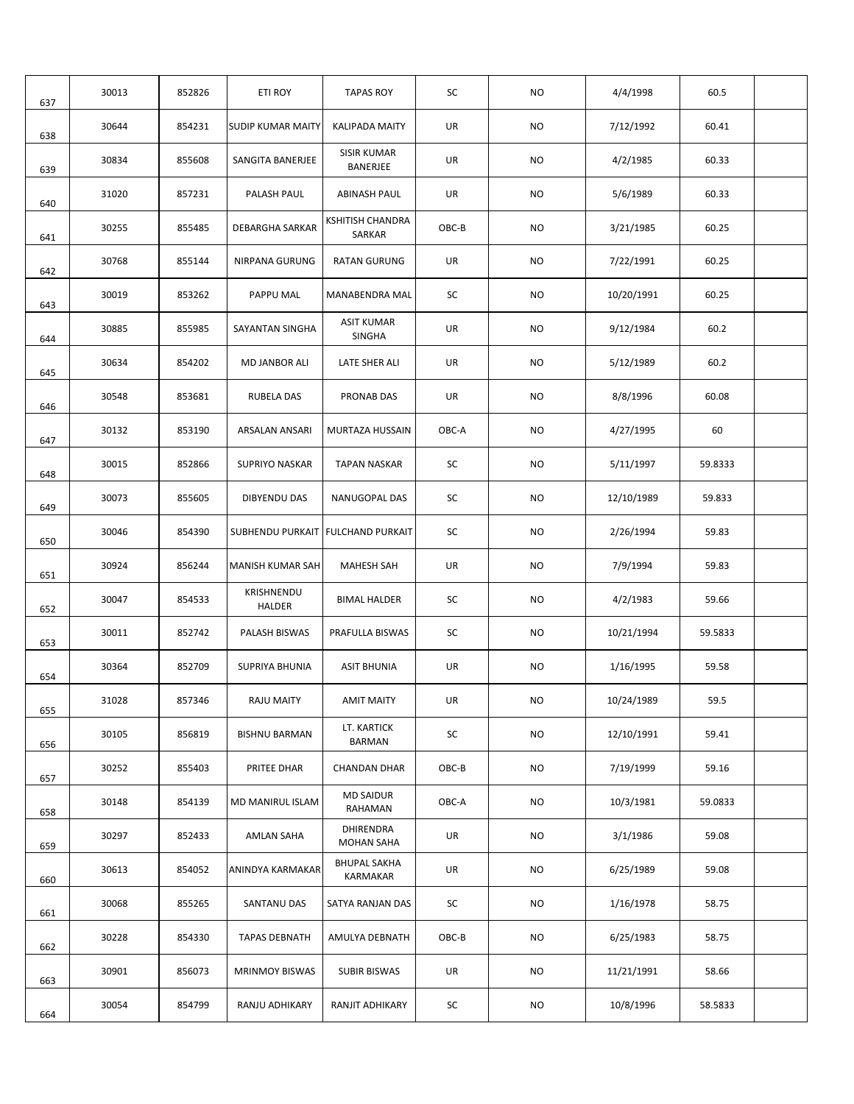| 637 | 30013 | 852826 | ETI ROY                  | <b>TAPAS ROY</b>                   | SC    | <b>NO</b> | 4/4/1998   | 60.5    |  |
|-----|-------|--------|--------------------------|------------------------------------|-------|-----------|------------|---------|--|
| 638 | 30644 | 854231 | <b>SUDIP KUMAR MAITY</b> | <b>KALIPADA MAITY</b>              | UR    | <b>NO</b> | 7/12/1992  | 60.41   |  |
| 639 | 30834 | 855608 | SANGITA BANERJEE         | <b>SISIR KUMAR</b><br>BANERJEE     | UR    | <b>NO</b> | 4/2/1985   | 60.33   |  |
| 640 | 31020 | 857231 | PALASH PAUL              | <b>ABINASH PAUL</b>                | UR    | <b>NO</b> | 5/6/1989   | 60.33   |  |
| 641 | 30255 | 855485 | <b>DEBARGHA SARKAR</b>   | <b>KSHITISH CHANDRA</b><br>SARKAR  | OBC-B | <b>NO</b> | 3/21/1985  | 60.25   |  |
| 642 | 30768 | 855144 | NIRPANA GURUNG           | <b>RATAN GURUNG</b>                | UR    | <b>NO</b> | 7/22/1991  | 60.25   |  |
| 643 | 30019 | 853262 | PAPPU MAL                | MANABENDRA MAL                     | SC    | <b>NO</b> | 10/20/1991 | 60.25   |  |
| 644 | 30885 | 855985 | SAYANTAN SINGHA          | <b>ASIT KUMAR</b><br><b>SINGHA</b> | UR    | NO        | 9/12/1984  | 60.2    |  |
| 645 | 30634 | 854202 | MD JANBOR ALI            | LATE SHER ALI                      | UR    | <b>NO</b> | 5/12/1989  | 60.2    |  |
| 646 | 30548 | 853681 | RUBELA DAS               | PRONAB DAS                         | UR    | <b>NO</b> | 8/8/1996   | 60.08   |  |
| 647 | 30132 | 853190 | ARSALAN ANSARI           | MURTAZA HUSSAIN                    | OBC-A | NO.       | 4/27/1995  | 60      |  |
| 648 | 30015 | 852866 | <b>SUPRIYO NASKAR</b>    | <b>TAPAN NASKAR</b>                | SC    | <b>NO</b> | 5/11/1997  | 59.8333 |  |
| 649 | 30073 | 855605 | <b>DIBYENDU DAS</b>      | NANUGOPAL DAS                      | SC    | <b>NO</b> | 12/10/1989 | 59.833  |  |
| 650 | 30046 | 854390 | SUBHENDU PURKAIT         | <b>FULCHAND PURKAIT</b>            | SC    | NO.       | 2/26/1994  | 59.83   |  |
| 651 | 30924 | 856244 | <b>MANISH KUMAR SAH</b>  | <b>MAHESH SAH</b>                  | UR    | <b>NO</b> | 7/9/1994   | 59.83   |  |
| 652 | 30047 | 854533 | KRISHNENDU<br>HALDER     | <b>BIMAL HALDER</b>                | SC    | NO.       | 4/2/1983   | 59.66   |  |
| 653 | 30011 | 852742 | PALASH BISWAS            | PRAFULLA BISWAS                    | SC    | NO.       | 10/21/1994 | 59.5833 |  |
| 654 | 30364 | 852709 | SUPRIYA BHUNIA           | <b>ASIT BHUNIA</b>                 | UR    | NO.       | 1/16/1995  | 59.58   |  |
| 655 | 31028 | 857346 | RAJU MAITY               | <b>AMIT MAITY</b>                  | UR    | <b>NO</b> | 10/24/1989 | 59.5    |  |
| 656 | 30105 | 856819 | <b>BISHNU BARMAN</b>     | LT. KARTICK<br><b>BARMAN</b>       | SC    | <b>NO</b> | 12/10/1991 | 59.41   |  |
| 657 | 30252 | 855403 | PRITEE DHAR              | <b>CHANDAN DHAR</b>                | OBC-B | NO.       | 7/19/1999  | 59.16   |  |
| 658 | 30148 | 854139 | MD MANIRUL ISLAM         | <b>MD SAIDUR</b><br>RAHAMAN        | OBC-A | NO.       | 10/3/1981  | 59.0833 |  |
| 659 | 30297 | 852433 | AMLAN SAHA               | DHIRENDRA<br><b>MOHAN SAHA</b>     | UR    | NO.       | 3/1/1986   | 59.08   |  |
| 660 | 30613 | 854052 | ANINDYA KARMAKAR         | <b>BHUPAL SAKHA</b><br>KARMAKAR    | UR    | NO        | 6/25/1989  | 59.08   |  |
| 661 | 30068 | 855265 | SANTANU DAS              | SATYA RANJAN DAS                   | SC    | NO.       | 1/16/1978  | 58.75   |  |
| 662 | 30228 | 854330 | <b>TAPAS DEBNATH</b>     | AMULYA DEBNATH                     | OBC-B | NO.       | 6/25/1983  | 58.75   |  |
| 663 | 30901 | 856073 | <b>MRINMOY BISWAS</b>    | <b>SUBIR BISWAS</b>                | UR    | NO.       | 11/21/1991 | 58.66   |  |
| 664 | 30054 | 854799 | RANJU ADHIKARY           | RANJIT ADHIKARY                    | SC    | NO.       | 10/8/1996  | 58.5833 |  |
|     |       |        |                          |                                    |       |           |            |         |  |